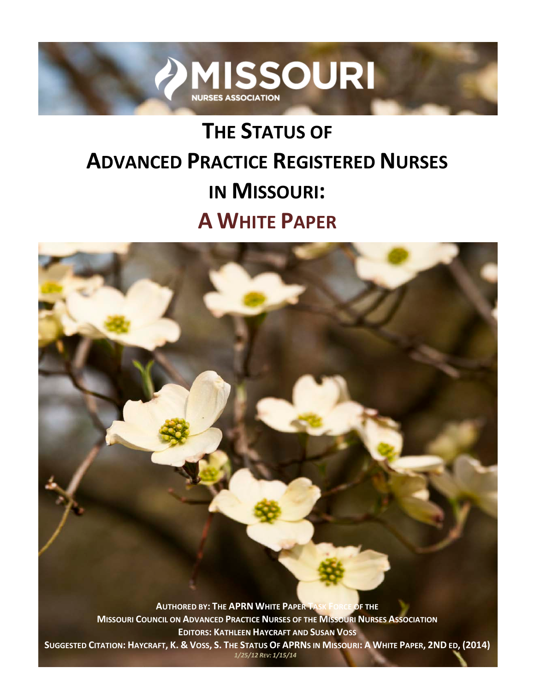

# **THE STATUS OF ADVANCED PRACTICE REGISTERED NURSES IN MISSOURI: A WHITE PAPER**

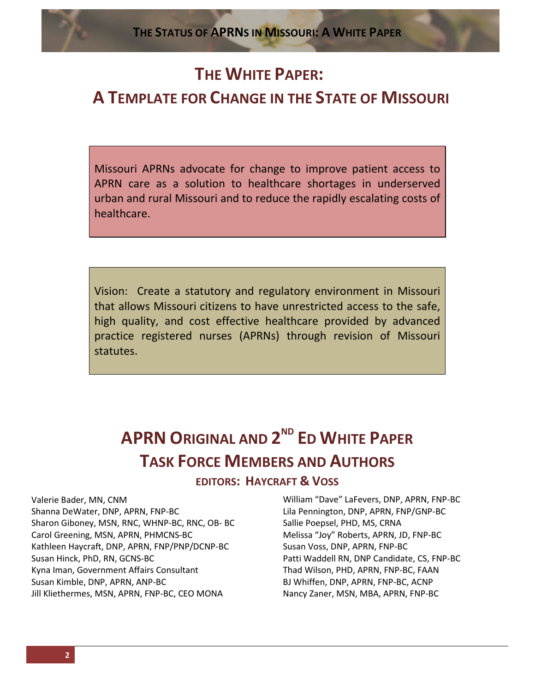# **THE WHITE PAPER:**

# **A TEMPLATE FOR CHANGE IN THE STATE OF MISSOURI**

Missouri APRNs advocate for change to improve patient access to APRN care as a solution to healthcare shortages in underserved urban and rural Missouri and to reduce the rapidly escalating costs of healthcare.

Vision: Create a statutory and regulatory environment in Missouri that allows Missouri citizens to have unrestricted access to the safe, high quality, and cost effective healthcare provided by advanced practice registered nurses (APRNs) through revision of Missouri statutes.

# **APRN ORIGINAL AND 2ND ED WHITE PAPER TASK FORCE MEMBERS AND AUTHORS**

**EDITORS: HAYCRAFT & VOSS**

Valerie Bader, MN, CNM Shanna DeWater, DNP, APRN, FNP-BC Sharon Giboney, MSN, RNC, WHNP-BC, RNC, OB- BC Carol Greening, MSN, APRN, PHMCNS-BC Kathleen Haycraft, DNP, APRN, FNP/PNP/DCNP-BC Susan Hinck, PhD, RN, GCNS-BC Kyna Iman, Government Affairs Consultant Susan Kimble, DNP, APRN, ANP-BC Jill Kliethermes, MSN, APRN, FNP-BC, CEO MONA

William "Dave" LaFevers, DNP, APRN, FNP-BC Lila Pennington, DNP, APRN, FNP/GNP-BC Sallie Poepsel, PHD, MS, CRNA Melissa "Joy" Roberts, APRN, JD, FNP-BC Susan Voss, DNP, APRN, FNP-BC Patti Waddell RN, DNP Candidate, CS, FNP-BC Thad Wilson, PHD, APRN, FNP-BC, FAAN BJ Whiffen, DNP, APRN, FNP-BC, ACNP Nancy Zaner, MSN, MBA, APRN, FNP-BC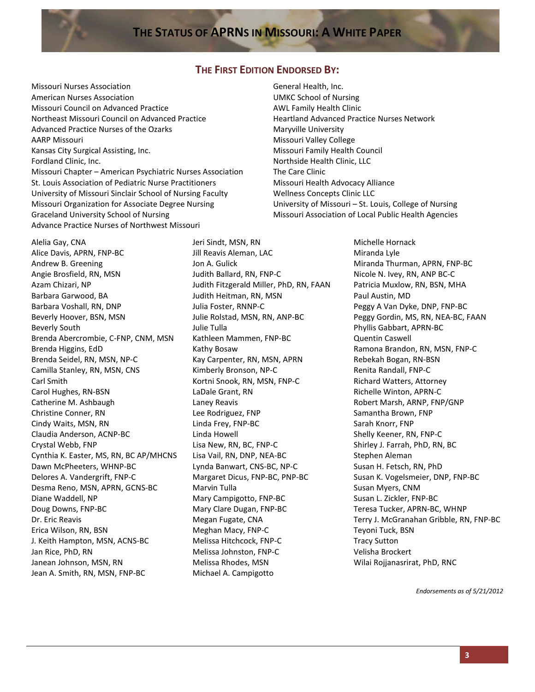### **THE FIRST EDITION ENDORSED BY:**

Missouri Nurses Association American Nurses Association Missouri Council on Advanced Practice Northeast Missouri Council on Advanced Practice Advanced Practice Nurses of the Ozarks AARP Missouri Kansas City Surgical Assisting, Inc. Fordland Clinic, Inc. Missouri Chapter – American Psychiatric Nurses Association St. Louis Association of Pediatric Nurse Practitioners University of Missouri Sinclair School of Nursing Faculty Missouri Organization for Associate Degree Nursing Graceland University School of Nursing Advance Practice Nurses of Northwest Missouri

Alelia Gay, CNA Alice Davis, APRN, FNP-BC Andrew B. Greening Angie Brosfield, RN, MSN Azam Chizari, NP Barbara Garwood, BA Barbara Voshall, RN, DNP Beverly Hoover, BSN, MSN Beverly South Brenda Abercrombie, C-FNP, CNM, MSN Brenda Higgins, EdD Brenda Seidel, RN, MSN, NP-C Camilla Stanley, RN, MSN, CNS Carl Smith Carol Hughes, RN-BSN Catherine M. Ashbaugh Christine Conner, RN Cindy Waits, MSN, RN Claudia Anderson, ACNP-BC Crystal Webb, FNP Cynthia K. Easter, MS, RN, BC AP/MHCNS Dawn McPheeters, WHNP-BC Delores A. Vandergrift, FNP-C Desma Reno, MSN, APRN, GCNS-BC Diane Waddell, NP Doug Downs, FNP-BC Dr. Eric Reavis Erica Wilson, RN, BSN J. Keith Hampton, MSN, ACNS-BC Jan Rice, PhD, RN Janean Johnson, MSN, RN Jean A. Smith, RN, MSN, FNP-BC

Jeri Sindt, MSN, RN Jill Reavis Aleman, LAC Jon A. Gulick Judith Ballard, RN, FNP-C Judith Fitzgerald Miller, PhD, RN, FAAN Judith Heitman, RN, MSN Julia Foster, RNNP-C Julie Rolstad, MSN, RN, ANP-BC Julie Tulla Kathleen Mammen, FNP-BC Kathy Bosaw Kay Carpenter, RN, MSN, APRN Kimberly Bronson, NP-C Kortni Snook, RN, MSN, FNP-C LaDale Grant, RN Laney Reavis Lee Rodriguez, FNP Linda Frey, FNP-BC Linda Howell Lisa New, RN, BC, FNP-C Lisa Vail, RN, DNP, NEA-BC Lynda Banwart, CNS-BC, NP-C Margaret Dicus, FNP-BC, PNP-BC Marvin Tulla Mary Campigotto, FNP-BC Mary Clare Dugan, FNP-BC Megan Fugate, CNA Meghan Macy, FNP-C Melissa Hitchcock, FNP-C Melissa Johnston, FNP-C Melissa Rhodes, MSN Michael A. Campigotto

General Health, Inc. UMKC School of Nursing AWL Family Health Clinic Heartland Advanced Practice Nurses Network Maryville University Missouri Valley College Missouri Family Health Council Northside Health Clinic, LLC The Care Clinic Missouri Health Advocacy Alliance Wellness Concepts Clinic LLC University of Missouri – St. Louis, College of Nursing Missouri Association of Local Public Health Agencies

> Michelle Hornack Miranda Lyle Miranda Thurman, APRN, FNP-BC Nicole N. Ivey, RN, ANP BC-C Patricia Muxlow, RN, BSN, MHA Paul Austin, MD Peggy A Van Dyke, DNP, FNP-BC Peggy Gordin, MS, RN, NEA-BC, FAAN Phyllis Gabbart, APRN-BC Quentin Caswell Ramona Brandon, RN, MSN, FNP-C Rebekah Bogan, RN-BSN Renita Randall, FNP-C Richard Watters, Attorney Richelle Winton, APRN-C Robert Marsh, ARNP, FNP/GNP Samantha Brown, FNP Sarah Knorr, FNP Shelly Keener, RN, FNP-C Shirley J. Farrah, PhD, RN, BC Stephen Aleman Susan H. Fetsch, RN, PhD Susan K. Vogelsmeier, DNP, FNP-BC Susan Myers, CNM Susan L. Zickler, FNP-BC Teresa Tucker, APRN-BC, WHNP Terry J. McGranahan Gribble, RN, FNP-BC Teyoni Tuck, BSN Tracy Sutton Velisha Brockert Wilai Rojjanasrirat, PhD, RNC

> > *Endorsements as of 5/21/2012*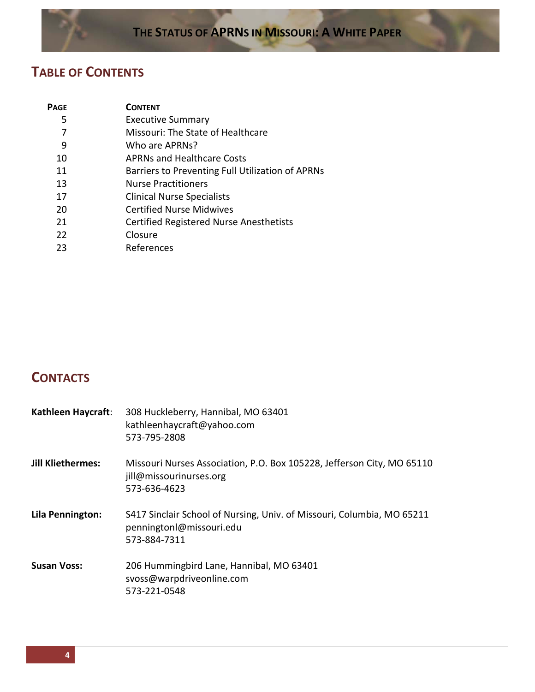## **TABLE OF CONTENTS**

| Page | <b>CONTENT</b>                                   |
|------|--------------------------------------------------|
| 5    | <b>Executive Summary</b>                         |
|      | Missouri: The State of Healthcare                |
| 9    | Who are APRNs?                                   |
| 10   | <b>APRNs and Healthcare Costs</b>                |
| 11   | Barriers to Preventing Full Utilization of APRNs |
| 13   | <b>Nurse Practitioners</b>                       |
| 17   | <b>Clinical Nurse Specialists</b>                |
| 20   | <b>Certified Nurse Midwives</b>                  |
| 21   | Certified Registered Nurse Anesthetists          |
| 22   | Closure                                          |
| 23   | References                                       |

# **CONTACTS**

| Kathleen Haycraft:       | 308 Huckleberry, Hannibal, MO 63401<br>kathleenhaycraft@yahoo.com<br>573-795-2808                                  |
|--------------------------|--------------------------------------------------------------------------------------------------------------------|
| <b>Jill Kliethermes:</b> | Missouri Nurses Association, P.O. Box 105228, Jefferson City, MO 65110<br>jill@missourinurses.org<br>573-636-4623  |
| Lila Pennington:         | S417 Sinclair School of Nursing, Univ. of Missouri, Columbia, MO 65211<br>penningtonl@missouri.edu<br>573-884-7311 |
| <b>Susan Voss:</b>       | 206 Hummingbird Lane, Hannibal, MO 63401<br>svoss@warpdriveonline.com<br>573-221-0548                              |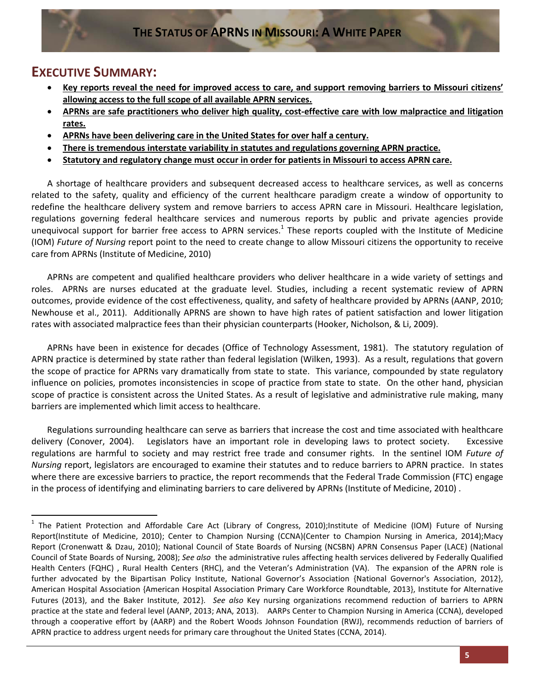### **EXECUTIVE SUMMARY:**

- **Key reports reveal the need for improved access to care, and support removing barriers to Missouri citizens' allowing access to the full scope of all available APRN services.**
- **APRNs are safe practitioners who deliver high quality, cost-effective care with low malpractice and litigation rates.**
- **APRNs have been delivering care in the United States for over half a century.**
- **There is tremendous interstate variability in statutes and regulations governing APRN practice.**
- **Statutory and regulatory change must occur in order for patients in Missouri to access APRN care.**

A shortage of healthcare providers and subsequent decreased access to healthcare services, as well as concerns related to the safety, quality and efficiency of the current healthcare paradigm create a window of opportunity to redefine the healthcare delivery system and remove barriers to access APRN care in Missouri. Healthcare legislation, regulations governing federal healthcare services and numerous reports by public and private agencies provide unequivocal support for barrier free access to APRN services.<sup>1</sup> These reports coupled with the Institute of Medicine (IOM) *Future of Nursing* report point to the need to create change to allow Missouri citizens the opportunity to receive care from APRNs (Institute of Medicine, 2010)

APRNs are competent and qualified healthcare providers who deliver healthcare in a wide variety of settings and roles. APRNs are nurses educated at the graduate level. Studies, including a recent systematic review of APRN outcomes, provide evidence of the cost effectiveness, quality, and safety of healthcare provided by APRNs (AANP, 2010; Newhouse et al., 2011). Additionally APRNS are shown to have high rates of patient satisfaction and lower litigation rates with associated malpractice fees than their physician counterparts (Hooker, Nicholson, & Li, 2009).

APRNs have been in existence for decades (Office of Technology Assessment, 1981). The statutory regulation of APRN practice is determined by state rather than federal legislation (Wilken, 1993). As a result, regulations that govern the scope of practice for APRNs vary dramatically from state to state. This variance, compounded by state regulatory influence on policies, promotes inconsistencies in scope of practice from state to state. On the other hand, physician scope of practice is consistent across the United States. As a result of legislative and administrative rule making, many barriers are implemented which limit access to healthcare.

Regulations surrounding healthcare can serve as barriers that increase the cost and time associated with healthcare delivery (Conover, 2004). Legislators have an important role in developing laws to protect society. Excessive regulations are harmful to society and may restrict free trade and consumer rights. In the sentinel IOM *Future of Nursing* report, legislators are encouraged to examine their statutes and to reduce barriers to APRN practice. In states where there are excessive barriers to practice, the report recommends that the Federal Trade Commission (FTC) engage in the process of identifying and eliminating barriers to care delivered by APRNs (Institute of Medicine, 2010) .

<sup>&</sup>lt;sup>1</sup> The Patient Protection and Affordable Care Act (Library of Congress, 2010);Institute of Medicine (IOM) Future of Nursing Report(Institute of Medicine, 2010); Center to Champion Nursing (CCNA)(Center to Champion Nursing in America, 2014);Macy Report (Cronenwatt & Dzau, 2010); National Council of State Boards of Nursing (NCSBN) APRN Consensus Paper (LACE) (National Council of State Boards of Nursing, 2008); *See also* the administrative rules affecting health services delivered by Federally Qualified Health Centers (FQHC) , Rural Health Centers (RHC), and the Veteran's Administration (VA). The expansion of the APRN role is further advocated by the Bipartisan Policy Institute, National Governor's Association {National Governor's Association, 2012}, American Hospital Association {American Hospital Association Primary Care Workforce Roundtable, 2013}, Institute for Alternative Futures (2013), and the Baker Institute, 2012}.*See also* Key nursing organizations recommend reduction of barriers to APRN practice at the state and federal level (AANP, 2013; ANA, 2013). AARPs Center to Champion Nursing in America (CCNA), developed through a cooperative effort by (AARP) and the Robert Woods Johnson Foundation (RWJ), recommends reduction of barriers of APRN practice to address urgent needs for primary care throughout the United States (CCNA, 2014).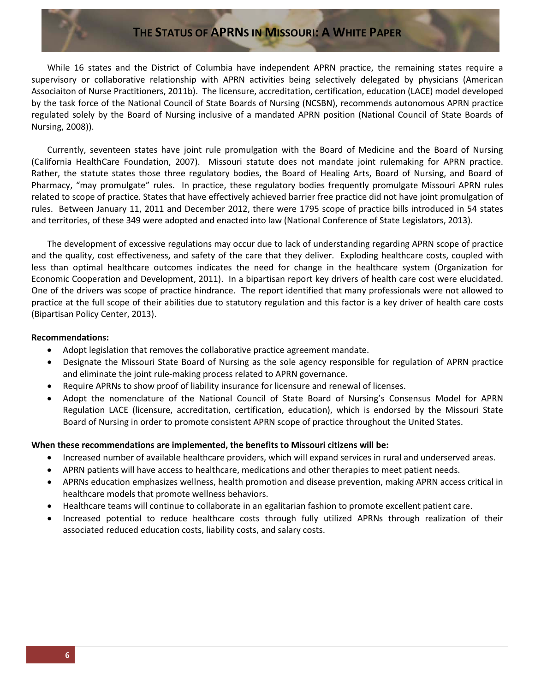While 16 states and the District of Columbia have independent APRN practice, the remaining states require a supervisory or collaborative relationship with APRN activities being selectively delegated by physicians (American Associaiton of Nurse Practitioners, 2011b). The licensure, accreditation, certification, education (LACE) model developed by the task force of the National Council of State Boards of Nursing (NCSBN), recommends autonomous APRN practice regulated solely by the Board of Nursing inclusive of a mandated APRN position (National Council of State Boards of Nursing, 2008)).

Currently, seventeen states have joint rule promulgation with the Board of Medicine and the Board of Nursing (California HealthCare Foundation, 2007). Missouri statute does not mandate joint rulemaking for APRN practice. Rather, the statute states those three regulatory bodies, the Board of Healing Arts, Board of Nursing, and Board of Pharmacy, "may promulgate" rules. In practice, these regulatory bodies frequently promulgate Missouri APRN rules related to scope of practice. States that have effectively achieved barrier free practice did not have joint promulgation of rules. Between January 11, 2011 and December 2012, there were 1795 scope of practice bills introduced in 54 states and territories, of these 349 were adopted and enacted into law (National Conference of State Legislators, 2013).

The development of excessive regulations may occur due to lack of understanding regarding APRN scope of practice and the quality, cost effectiveness, and safety of the care that they deliver. Exploding healthcare costs, coupled with less than optimal healthcare outcomes indicates the need for change in the healthcare system (Organization for Economic Cooperation and Development, 2011). In a bipartisan report key drivers of health care cost were elucidated. One of the drivers was scope of practice hindrance. The report identified that many professionals were not allowed to practice at the full scope of their abilities due to statutory regulation and this factor is a key driver of health care costs (Bipartisan Policy Center, 2013).

#### **Recommendations:**

- Adopt legislation that removes the collaborative practice agreement mandate.
- Designate the Missouri State Board of Nursing as the sole agency responsible for regulation of APRN practice and eliminate the joint rule-making process related to APRN governance.
- Require APRNs to show proof of liability insurance for licensure and renewal of licenses.
- Adopt the nomenclature of the National Council of State Board of Nursing's Consensus Model for APRN Regulation LACE (licensure, accreditation, certification, education), which is endorsed by the Missouri State Board of Nursing in order to promote consistent APRN scope of practice throughout the United States.

#### **When these recommendations are implemented, the benefits to Missouri citizens will be:**

- Increased number of available healthcare providers, which will expand services in rural and underserved areas.
- APRN patients will have access to healthcare, medications and other therapies to meet patient needs.
- APRNs education emphasizes wellness, health promotion and disease prevention, making APRN access critical in healthcare models that promote wellness behaviors.
- Healthcare teams will continue to collaborate in an egalitarian fashion to promote excellent patient care.
- Increased potential to reduce healthcare costs through fully utilized APRNs through realization of their associated reduced education costs, liability costs, and salary costs.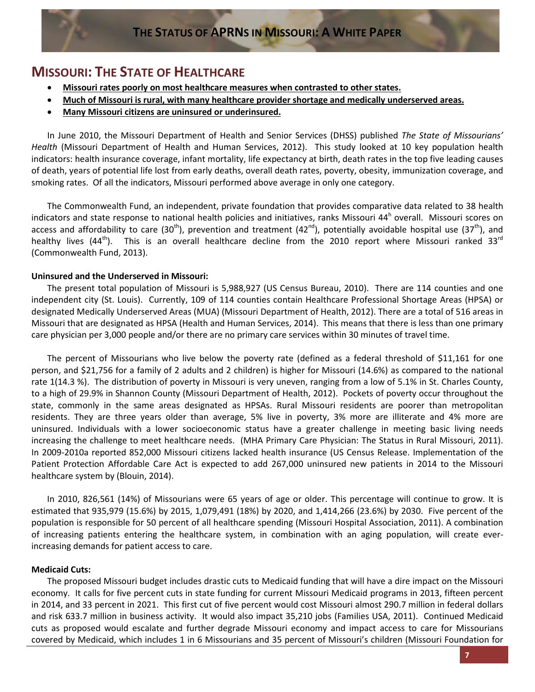### **MISSOURI: THE STATE OF HEALTHCARE**

- **Missouri rates poorly on most healthcare measures when contrasted to other states.**
- **Much of Missouri is rural, with many healthcare provider shortage and medically underserved areas.**
- **Many Missouri citizens are uninsured or underinsured.**

In June 2010, the Missouri Department of Health and Senior Services (DHSS) published *The State of Missourians' Health* (Missouri Department of Health and Human Services, 2012). This study looked at 10 key population health indicators: health insurance coverage, infant mortality, life expectancy at birth, death rates in the top five leading causes of death, years of potential life lost from early deaths, overall death rates, poverty, obesity, immunization coverage, and smoking rates. Of all the indicators, Missouri performed above average in only one category.

The Commonwealth Fund, an independent, private foundation that provides comparative data related to 38 health indicators and state response to national health policies and initiatives, ranks Missouri  $44<sup>h</sup>$  overall. Missouri scores on access and affordability to care (30<sup>th</sup>), prevention and treatment (42<sup>nd</sup>), potentially avoidable hospital use (37<sup>th</sup>), and healthy lives (44<sup>th</sup>). This is an overall healthcare decline from the 2010 report where Missouri ranked 33<sup>rd</sup> (Commonwealth Fund, 2013).

#### **Uninsured and the Underserved in Missouri:**

The present total population of Missouri is 5,988,927 (US Census Bureau, 2010). There are 114 counties and one independent city (St. Louis). Currently, 109 of 114 counties contain Healthcare Professional Shortage Areas (HPSA) or designated Medically Underserved Areas (MUA) (Missouri Department of Health, 2012). There are a total of 516 areas in Missouri that are designated as HPSA (Health and Human Services, 2014). This means that there is less than one primary care physician per 3,000 people and/or there are no primary care services within 30 minutes of travel time.

The percent of Missourians who live below the poverty rate (defined as a federal threshold of \$11,161 for one person, and \$21,756 for a family of 2 adults and 2 children) is higher for Missouri (14.6%) as compared to the national rate 1(14.3 %). The distribution of poverty in Missouri is very uneven, ranging from a low of 5.1% in St. Charles County, to a high of 29.9% in Shannon County (Missouri Department of Health, 2012). Pockets of poverty occur throughout the state, commonly in the same areas designated as HPSAs. Rural Missouri residents are poorer than metropolitan residents. They are three years older than average, 5% live in poverty, 3% more are illiterate and 4% more are uninsured. Individuals with a lower socioeconomic status have a greater challenge in meeting basic living needs increasing the challenge to meet healthcare needs. (MHA Primary Care Physician: The Status in Rural Missouri, 2011). In 2009-2010a reported 852,000 Missouri citizens lacked health insurance (US Census Release. Implementation of the Patient Protection Affordable Care Act is expected to add 267,000 uninsured new patients in 2014 to the Missouri healthcare system by (Blouin, 2014).

In 2010, 826,561 (14%) of Missourians were 65 years of age or older. This percentage will continue to grow. It is estimated that 935,979 (15.6%) by 2015, 1,079,491 (18%) by 2020, and 1,414,266 (23.6%) by 2030. Five percent of the population is responsible for 50 percent of all healthcare spending (Missouri Hospital Association, 2011). A combination of increasing patients entering the healthcare system, in combination with an aging population, will create everincreasing demands for patient access to care.

### **Medicaid Cuts:**

The proposed Missouri budget includes drastic cuts to Medicaid funding that will have a dire impact on the Missouri economy. It calls for five percent cuts in state funding for current Missouri Medicaid programs in 2013, fifteen percent in 2014, and 33 percent in 2021. This first cut of five percent would cost Missouri almost 290.7 million in federal dollars and risk 633.7 million in business activity. It would also impact 35,210 jobs (Families USA, 2011). Continued Medicaid cuts as proposed would escalate and further degrade Missouri economy and impact access to care for Missourians covered by Medicaid, which includes 1 in 6 Missourians and 35 percent of Missouri's children (Missouri Foundation for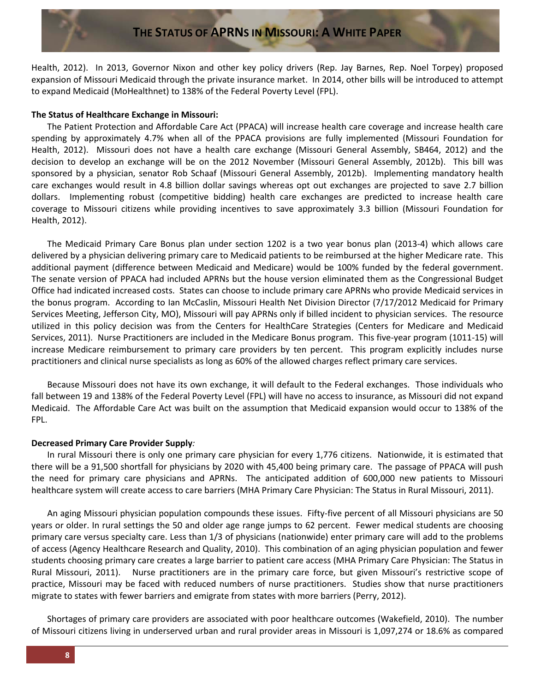Health, 2012). In 2013, Governor Nixon and other key policy drivers (Rep. Jay Barnes, Rep. Noel Torpey) proposed expansion of Missouri Medicaid through the private insurance market. In 2014, other bills will be introduced to attempt to expand Medicaid (MoHealthnet) to 138% of the Federal Poverty Level (FPL).

#### **The Status of Healthcare Exchange in Missouri:**

The Patient Protection and Affordable Care Act (PPACA) will increase health care coverage and increase health care spending by approximately 4.7% when all of the PPACA provisions are fully implemented (Missouri Foundation for Health, 2012). Missouri does not have a health care exchange (Missouri General Assembly, SB464, 2012) and the decision to develop an exchange will be on the 2012 November (Missouri General Assembly, 2012b). This bill was sponsored by a physician, senator Rob Schaaf (Missouri General Assembly, 2012b). Implementing mandatory health care exchanges would result in 4.8 billion dollar savings whereas opt out exchanges are projected to save 2.7 billion dollars. Implementing robust (competitive bidding) health care exchanges are predicted to increase health care coverage to Missouri citizens while providing incentives to save approximately 3.3 billion (Missouri Foundation for Health, 2012).

The Medicaid Primary Care Bonus plan under section 1202 is a two year bonus plan (2013-4) which allows care delivered by a physician delivering primary care to Medicaid patients to be reimbursed at the higher Medicare rate. This additional payment (difference between Medicaid and Medicare) would be 100% funded by the federal government. The senate version of PPACA had included APRNs but the house version eliminated them as the Congressional Budget Office had indicated increased costs. States can choose to include primary care APRNs who provide Medicaid services in the bonus program. According to Ian McCaslin, Missouri Health Net Division Director (7/17/2012 Medicaid for Primary Services Meeting, Jefferson City, MO), Missouri will pay APRNs only if billed incident to physician services. The resource utilized in this policy decision was from the Centers for HealthCare Strategies (Centers for Medicare and Medicaid Services, 2011). Nurse Practitioners are included in the Medicare Bonus program. This five-year program (1011-15) will increase Medicare reimbursement to primary care providers by ten percent. This program explicitly includes nurse practitioners and clinical nurse specialists as long as 60% of the allowed charges reflect primary care services.

Because Missouri does not have its own exchange, it will default to the Federal exchanges. Those individuals who fall between 19 and 138% of the Federal Poverty Level (FPL) will have no access to insurance, as Missouri did not expand Medicaid. The Affordable Care Act was built on the assumption that Medicaid expansion would occur to 138% of the FPL.

#### **Decreased Primary Care Provider Supply***:*

In rural Missouri there is only one primary care physician for every 1,776 citizens. Nationwide, it is estimated that there will be a 91,500 shortfall for physicians by 2020 with 45,400 being primary care. The passage of PPACA will push the need for primary care physicians and APRNs. The anticipated addition of 600,000 new patients to Missouri healthcare system will create access to care barriers (MHA Primary Care Physician: The Status in Rural Missouri, 2011).

An aging Missouri physician population compounds these issues. Fifty-five percent of all Missouri physicians are 50 years or older. In rural settings the 50 and older age range jumps to 62 percent. Fewer medical students are choosing primary care versus specialty care. Less than 1/3 of physicians (nationwide) enter primary care will add to the problems of access (Agency Healthcare Research and Quality, 2010). This combination of an aging physician population and fewer students choosing primary care creates a large barrier to patient care access (MHA Primary Care Physician: The Status in Rural Missouri, 2011). Nurse practitioners are in the primary care force, but given Missouri's restrictive scope of practice, Missouri may be faced with reduced numbers of nurse practitioners. Studies show that nurse practitioners migrate to states with fewer barriers and emigrate from states with more barriers (Perry, 2012).

Shortages of primary care providers are associated with poor healthcare outcomes (Wakefield, 2010). The number of Missouri citizens living in underserved urban and rural provider areas in Missouri is 1,097,274 or 18.6% as compared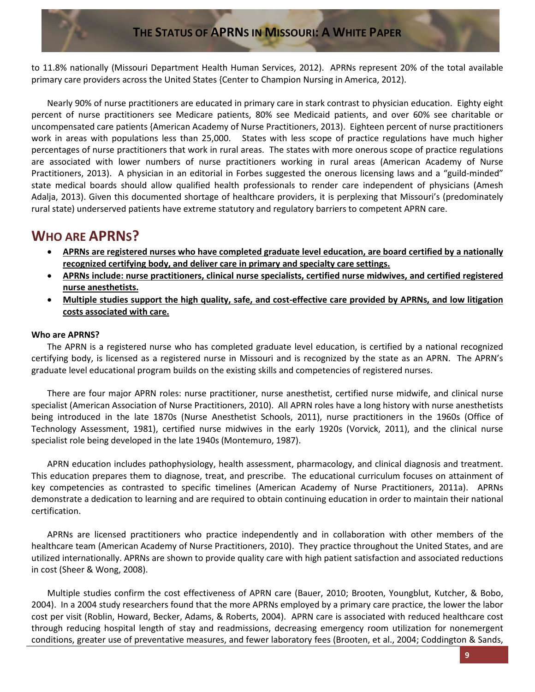to 11.8% nationally (Missouri Department Health Human Services, 2012). APRNs represent 20% of the total available primary care providers across the United States {Center to Champion Nursing in America, 2012).

Nearly 90% of nurse practitioners are educated in primary care in stark contrast to physician education. Eighty eight percent of nurse practitioners see Medicare patients, 80% see Medicaid patients, and over 60% see charitable or uncompensated care patients {American Academy of Nurse Practitioners, 2013). Eighteen percent of nurse practitioners work in areas with populations less than 25,000. States with less scope of practice regulations have much higher percentages of nurse practitioners that work in rural areas. The states with more onerous scope of practice regulations are associated with lower numbers of nurse practitioners working in rural areas (American Academy of Nurse Practitioners, 2013). A physician in an editorial in Forbes suggested the onerous licensing laws and a "guild-minded" state medical boards should allow qualified health professionals to render care independent of physicians (Amesh Adalja, 2013). Given this documented shortage of healthcare providers, it is perplexing that Missouri's (predominately rural state) underserved patients have extreme statutory and regulatory barriers to competent APRN care.

### **WHO ARE APRNS?**

- **APRNs are registered nurses who have completed graduate level education, are board certified by a nationally recognized certifying body, and deliver care in primary and specialty care settings.**
- **APRNs include: nurse practitioners, clinical nurse specialists, certified nurse midwives, and certified registered nurse anesthetists.**
- **Multiple studies support the high quality, safe, and cost-effective care provided by APRNs, and low litigation costs associated with care.**

### **Who are APRNS?**

The APRN is a registered nurse who has completed graduate level education, is certified by a national recognized certifying body, is licensed as a registered nurse in Missouri and is recognized by the state as an APRN. The APRN's graduate level educational program builds on the existing skills and competencies of registered nurses.

There are four major APRN roles: nurse practitioner, nurse anesthetist, certified nurse midwife, and clinical nurse specialist (American Association of Nurse Practitioners, 2010). All APRN roles have a long history with nurse anesthetists being introduced in the late 1870s (Nurse Anesthetist Schools, 2011), nurse practitioners in the 1960s (Office of Technology Assessment, 1981), certified nurse midwives in the early 1920s (Vorvick, 2011), and the clinical nurse specialist role being developed in the late 1940s (Montemuro, 1987).

APRN education includes pathophysiology, health assessment, pharmacology, and clinical diagnosis and treatment. This education prepares them to diagnose, treat, and prescribe. The educational curriculum focuses on attainment of key competencies as contrasted to specific timelines (American Academy of Nurse Practitioners, 2011a). APRNs demonstrate a dedication to learning and are required to obtain continuing education in order to maintain their national certification.

APRNs are licensed practitioners who practice independently and in collaboration with other members of the healthcare team (American Academy of Nurse Practitioners, 2010). They practice throughout the United States, and are utilized internationally. APRNs are shown to provide quality care with high patient satisfaction and associated reductions in cost (Sheer & Wong, 2008).

Multiple studies confirm the cost effectiveness of APRN care (Bauer, 2010; Brooten, Youngblut, Kutcher, & Bobo, 2004). In a 2004 study researchers found that the more APRNs employed by a primary care practice, the lower the labor cost per visit (Roblin, Howard, Becker, Adams, & Roberts, 2004). APRN care is associated with reduced healthcare cost through reducing hospital length of stay and readmissions, decreasing emergency room utilization for nonemergent conditions, greater use of preventative measures, and fewer laboratory fees (Brooten, et al., 2004; Coddington & Sands,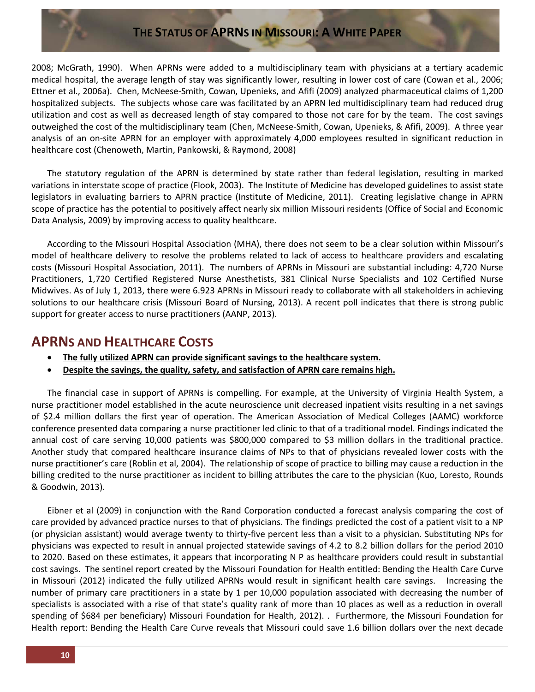2008; McGrath, 1990). When APRNs were added to a multidisciplinary team with physicians at a tertiary academic medical hospital, the average length of stay was significantly lower, resulting in lower cost of care (Cowan et al., 2006; Ettner et al., 2006a). Chen, McNeese-Smith, Cowan, Upenieks, and Afifi (2009) analyzed pharmaceutical claims of 1,200 hospitalized subjects. The subjects whose care was facilitated by an APRN led multidisciplinary team had reduced drug utilization and cost as well as decreased length of stay compared to those not care for by the team. The cost savings outweighed the cost of the multidisciplinary team (Chen, McNeese-Smith, Cowan, Upenieks, & Afifi, 2009). A three year analysis of an on-site APRN for an employer with approximately 4,000 employees resulted in significant reduction in healthcare cost (Chenoweth, Martin, Pankowski, & Raymond, 2008)

The statutory regulation of the APRN is determined by state rather than federal legislation, resulting in marked variations in interstate scope of practice (Flook, 2003). The Institute of Medicine has developed guidelines to assist state legislators in evaluating barriers to APRN practice (Institute of Medicine, 2011). Creating legislative change in APRN scope of practice has the potential to positively affect nearly six million Missouri residents (Office of Social and Economic Data Analysis, 2009) by improving access to quality healthcare.

According to the Missouri Hospital Association (MHA), there does not seem to be a clear solution within Missouri's model of healthcare delivery to resolve the problems related to lack of access to healthcare providers and escalating costs (Missouri Hospital Association, 2011). The numbers of APRNs in Missouri are substantial including: 4,720 Nurse Practitioners, 1,720 Certified Registered Nurse Anesthetists, 381 Clinical Nurse Specialists and 102 Certified Nurse Midwives. As of July 1, 2013, there were 6.923 APRNs in Missouri ready to collaborate with all stakeholders in achieving solutions to our healthcare crisis (Missouri Board of Nursing, 2013). A recent poll indicates that there is strong public support for greater access to nurse practitioners (AANP, 2013).

### **APRNS AND HEALTHCARE COSTS**

- **The fully utilized APRN can provide significant savings to the healthcare system.**
- **Despite the savings, the quality, safety, and satisfaction of APRN care remains high.**

The financial case in support of APRNs is compelling. For example, at the University of Virginia Health System, a nurse practitioner model established in the acute neuroscience unit decreased inpatient visits resulting in a net savings of \$2.4 million dollars the first year of operation. The American Association of Medical Colleges (AAMC) workforce conference presented data comparing a nurse practitioner led clinic to that of a traditional model. Findings indicated the annual cost of care serving 10,000 patients was \$800,000 compared to \$3 million dollars in the traditional practice. Another study that compared healthcare insurance claims of NPs to that of physicians revealed lower costs with the nurse practitioner's care (Roblin et al, 2004). The relationship of scope of practice to billing may cause a reduction in the billing credited to the nurse practitioner as incident to billing attributes the care to the physician (Kuo, Loresto, Rounds & Goodwin, 2013).

Eibner et al (2009) in conjunction with the Rand Corporation conducted a forecast analysis comparing the cost of care provided by advanced practice nurses to that of physicians. The findings predicted the cost of a patient visit to a NP (or physician assistant) would average twenty to thirty-five percent less than a visit to a physician. Substituting NPs for physicians was expected to result in annual projected statewide savings of 4.2 to 8.2 billion dollars for the period 2010 to 2020. Based on these estimates, it appears that incorporating N P as healthcare providers could result in substantial cost savings. The sentinel report created by the Missouri Foundation for Health entitled: Bending the Health Care Curve in Missouri (2012) indicated the fully utilized APRNs would result in significant health care savings. Increasing the number of primary care practitioners in a state by 1 per 10,000 population associated with decreasing the number of specialists is associated with a rise of that state's quality rank of more than 10 places as well as a reduction in overall spending of \$684 per beneficiary) Missouri Foundation for Health, 2012). . Furthermore, the Missouri Foundation for Health report: Bending the Health Care Curve reveals that Missouri could save 1.6 billion dollars over the next decade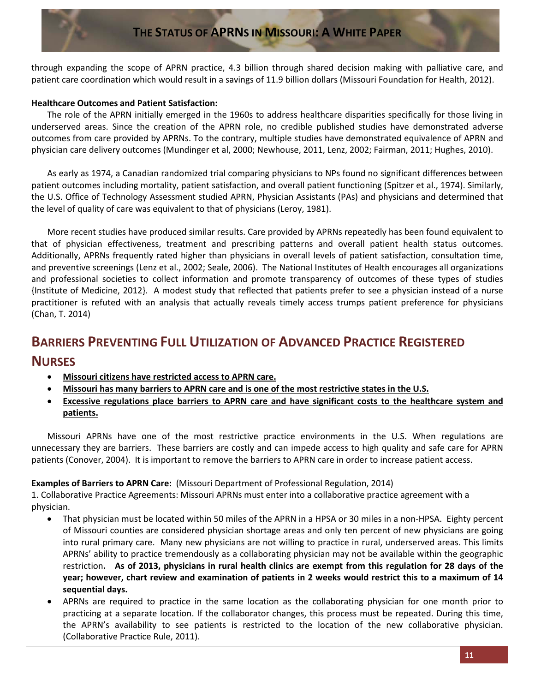through expanding the scope of APRN practice, 4.3 billion through shared decision making with palliative care, and patient care coordination which would result in a savings of 11.9 billion dollars (Missouri Foundation for Health, 2012).

### **Healthcare Outcomes and Patient Satisfaction:**

The role of the APRN initially emerged in the 1960s to address healthcare disparities specifically for those living in underserved areas. Since the creation of the APRN role, no credible published studies have demonstrated adverse outcomes from care provided by APRNs. To the contrary, multiple studies have demonstrated equivalence of APRN and physician care delivery outcomes (Mundinger et al, 2000; Newhouse, 2011, Lenz, 2002; Fairman, 2011; Hughes, 2010).

As early as 1974, a Canadian randomized trial comparing physicians to NPs found no significant differences between patient outcomes including mortality, patient satisfaction, and overall patient functioning (Spitzer et al., 1974). Similarly, the U.S. Office of Technology Assessment studied APRN, Physician Assistants (PAs) and physicians and determined that the level of quality of care was equivalent to that of physicians (Leroy, 1981).

More recent studies have produced similar results. Care provided by APRNs repeatedly has been found equivalent to that of physician effectiveness, treatment and prescribing patterns and overall patient health status outcomes. Additionally, APRNs frequently rated higher than physicians in overall levels of patient satisfaction, consultation time, and preventive screenings (Lenz et al., 2002; Seale, 2006). The National Institutes of Health encourages all organizations and professional societies to collect information and promote transparency of outcomes of these types of studies {Institute of Medicine, 2012}. A modest study that reflected that patients prefer to see a physician instead of a nurse practitioner is refuted with an analysis that actually reveals timely access trumps patient preference for physicians (Chan, T. 2014)

### **BARRIERS PREVENTING FULL UTILIZATION OF ADVANCED PRACTICE REGISTERED**

### **NURSES**

- **Missouri citizens have restricted access to APRN care.**
- **Missouri has many barriers to APRN care and is one of the most restrictive states in the U.S.**
- **Excessive regulations place barriers to APRN care and have significant costs to the healthcare system and patients.**

Missouri APRNs have one of the most restrictive practice environments in the U.S. When regulations are unnecessary they are barriers. These barriers are costly and can impede access to high quality and safe care for APRN patients (Conover, 2004). It is important to remove the barriers to APRN care in order to increase patient access.

### **Examples of Barriers to APRN Care:** (Missouri Department of Professional Regulation, 2014)

1. Collaborative Practice Agreements: Missouri APRNs must enter into a collaborative practice agreement with a physician.

- That physician must be located within 50 miles of the APRN in a HPSA or 30 miles in a non-HPSA. Eighty percent of Missouri counties are considered physician shortage areas and only ten percent of new physicians are going into rural primary care. Many new physicians are not willing to practice in rural, underserved areas. This limits APRNs' ability to practice tremendously as a collaborating physician may not be available within the geographic restriction**. As of 2013, physicians in rural health clinics are exempt from this regulation for 28 days of the year; however, chart review and examination of patients in 2 weeks would restrict this to a maximum of 14 sequential days.**
- APRNs are required to practice in the same location as the collaborating physician for one month prior to practicing at a separate location. If the collaborator changes, this process must be repeated. During this time, the APRN's availability to see patients is restricted to the location of the new collaborative physician. (Collaborative Practice Rule, 2011).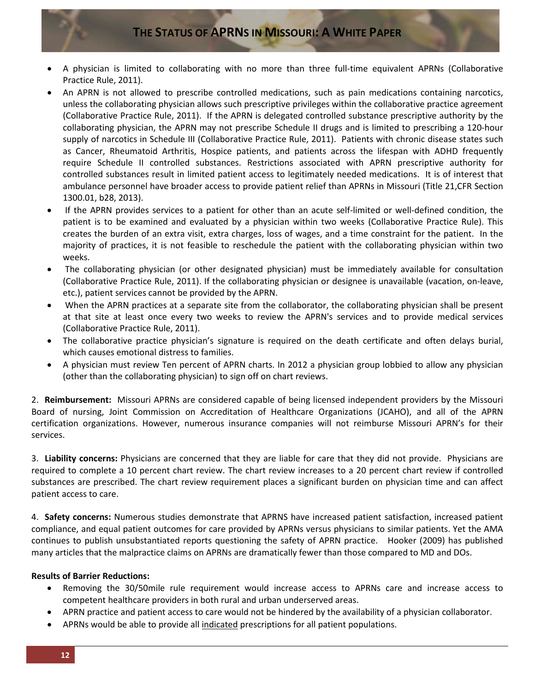- A physician is limited to collaborating with no more than three full-time equivalent APRNs (Collaborative Practice Rule, 2011).
- An APRN is not allowed to prescribe controlled medications, such as pain medications containing narcotics, unless the collaborating physician allows such prescriptive privileges within the collaborative practice agreement (Collaborative Practice Rule, 2011). If the APRN is delegated controlled substance prescriptive authority by the collaborating physician, the APRN may not prescribe Schedule II drugs and is limited to prescribing a 120-hour supply of narcotics in Schedule III (Collaborative Practice Rule, 2011). Patients with chronic disease states such as Cancer, Rheumatoid Arthritis, Hospice patients, and patients across the lifespan with ADHD frequently require Schedule II controlled substances. Restrictions associated with APRN prescriptive authority for controlled substances result in limited patient access to legitimately needed medications. It is of interest that ambulance personnel have broader access to provide patient relief than APRNs in Missouri (Title 21,CFR Section 1300.01, b28, 2013).
- If the APRN provides services to a patient for other than an acute self-limited or well-defined condition, the patient is to be examined and evaluated by a physician within two weeks (Collaborative Practice Rule). This creates the burden of an extra visit, extra charges, loss of wages, and a time constraint for the patient. In the majority of practices, it is not feasible to reschedule the patient with the collaborating physician within two weeks.
- The collaborating physician (or other designated physician) must be immediately available for consultation (Collaborative Practice Rule, 2011). If the collaborating physician or designee is unavailable (vacation, on-leave, etc.), patient services cannot be provided by the APRN.
- When the APRN practices at a separate site from the collaborator, the collaborating physician shall be present at that site at least once every two weeks to review the APRN's services and to provide medical services (Collaborative Practice Rule, 2011).
- The collaborative practice physician's signature is required on the death certificate and often delays burial, which causes emotional distress to families.
- A physician must review Ten percent of APRN charts. In 2012 a physician group lobbied to allow any physician (other than the collaborating physician) to sign off on chart reviews.

2. **Reimbursement:** Missouri APRNs are considered capable of being licensed independent providers by the Missouri Board of nursing, Joint Commission on Accreditation of Healthcare Organizations (JCAHO), and all of the APRN certification organizations. However, numerous insurance companies will not reimburse Missouri APRN's for their services.

3. **Liability concerns:** Physicians are concerned that they are liable for care that they did not provide. Physicians are required to complete a 10 percent chart review. The chart review increases to a 20 percent chart review if controlled substances are prescribed. The chart review requirement places a significant burden on physician time and can affect patient access to care.

4. **Safety concerns:** Numerous studies demonstrate that APRNS have increased patient satisfaction, increased patient compliance, and equal patient outcomes for care provided by APRNs versus physicians to similar patients. Yet the AMA continues to publish unsubstantiated reports questioning the safety of APRN practice. Hooker (2009) has published many articles that the malpractice claims on APRNs are dramatically fewer than those compared to MD and DOs.

### **Results of Barrier Reductions:**

- Removing the 30/50mile rule requirement would increase access to APRNs care and increase access to competent healthcare providers in both rural and urban underserved areas.
- APRN practice and patient access to care would not be hindered by the availability of a physician collaborator.
- APRNs would be able to provide all indicated prescriptions for all patient populations.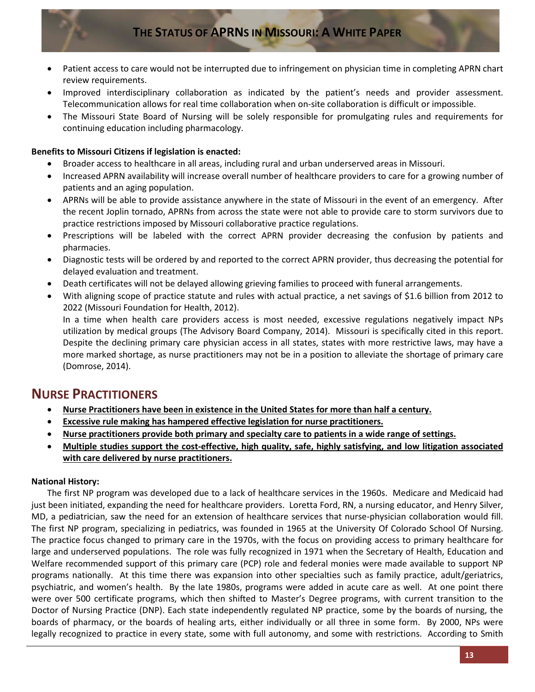- Patient access to care would not be interrupted due to infringement on physician time in completing APRN chart review requirements.
- Improved interdisciplinary collaboration as indicated by the patient's needs and provider assessment. Telecommunication allows for real time collaboration when on-site collaboration is difficult or impossible.
- The Missouri State Board of Nursing will be solely responsible for promulgating rules and requirements for continuing education including pharmacology.

### **Benefits to Missouri Citizens if legislation is enacted:**

- Broader access to healthcare in all areas, including rural and urban underserved areas in Missouri.
- Increased APRN availability will increase overall number of healthcare providers to care for a growing number of patients and an aging population.
- APRNs will be able to provide assistance anywhere in the state of Missouri in the event of an emergency. After the recent Joplin tornado, APRNs from across the state were not able to provide care to storm survivors due to practice restrictions imposed by Missouri collaborative practice regulations.
- Prescriptions will be labeled with the correct APRN provider decreasing the confusion by patients and pharmacies.
- Diagnostic tests will be ordered by and reported to the correct APRN provider, thus decreasing the potential for delayed evaluation and treatment.
- Death certificates will not be delayed allowing grieving families to proceed with funeral arrangements.
- With aligning scope of practice statute and rules with actual practice, a net savings of \$1.6 billion from 2012 to 2022 (Missouri Foundation for Health, 2012).

In a time when health care providers access is most needed, excessive regulations negatively impact NPs utilization by medical groups (The Advisory Board Company, 2014). Missouri is specifically cited in this report. Despite the declining primary care physician access in all states, states with more restrictive laws, may have a more marked shortage, as nurse practitioners may not be in a position to alleviate the shortage of primary care (Domrose, 2014).

### **NURSE PRACTITIONERS**

- **Nurse Practitioners have been in existence in the United States for more than half a century.**
- **Excessive rule making has hampered effective legislation for nurse practitioners.**
- **Nurse practitioners provide both primary and specialty care to patients in a wide range of settings.**
- **Multiple studies support the cost-effective, high quality, safe, highly satisfying, and low litigation associated with care delivered by nurse practitioners.**

### **National History:**

The first NP program was developed due to a lack of healthcare services in the 1960s. Medicare and Medicaid had just been initiated, expanding the need for healthcare providers. Loretta Ford, RN, a nursing educator, and Henry Silver, MD, a pediatrician, saw the need for an extension of healthcare services that nurse-physician collaboration would fill. The first NP program, specializing in pediatrics, was founded in 1965 at the University Of Colorado School Of Nursing. The practice focus changed to primary care in the 1970s, with the focus on providing access to primary healthcare for large and underserved populations. The role was fully recognized in 1971 when the Secretary of Health, Education and Welfare recommended support of this primary care (PCP) role and federal monies were made available to support NP programs nationally. At this time there was expansion into other specialties such as family practice, adult/geriatrics, psychiatric, and women's health. By the late 1980s, programs were added in acute care as well. At one point there were over 500 certificate programs, which then shifted to Master's Degree programs, with current transition to the Doctor of Nursing Practice (DNP). Each state independently regulated NP practice, some by the boards of nursing, the boards of pharmacy, or the boards of healing arts, either individually or all three in some form. By 2000, NPs were legally recognized to practice in every state, some with full autonomy, and some with restrictions. According to Smith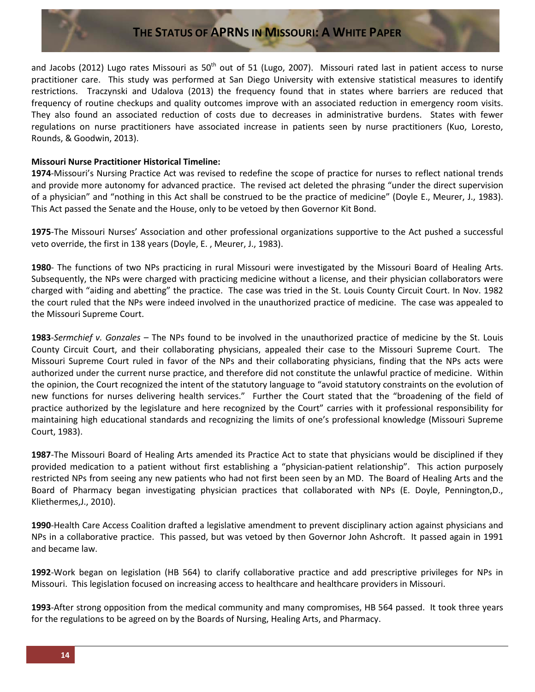and Jacobs (2012) Lugo rates Missouri as  $50<sup>th</sup>$  out of 51 (Lugo, 2007). Missouri rated last in patient access to nurse practitioner care. This study was performed at San Diego University with extensive statistical measures to identify restrictions. Traczynski and Udalova (2013) the frequency found that in states where barriers are reduced that frequency of routine checkups and quality outcomes improve with an associated reduction in emergency room visits. They also found an associated reduction of costs due to decreases in administrative burdens. States with fewer regulations on nurse practitioners have associated increase in patients seen by nurse practitioners (Kuo, Loresto, Rounds, & Goodwin, 2013).

#### **Missouri Nurse Practitioner Historical Timeline:**

**1974**-Missouri's Nursing Practice Act was revised to redefine the scope of practice for nurses to reflect national trends and provide more autonomy for advanced practice. The revised act deleted the phrasing "under the direct supervision of a physician" and "nothing in this Act shall be construed to be the practice of medicine" (Doyle E., Meurer, J., 1983). This Act passed the Senate and the House, only to be vetoed by then Governor Kit Bond.

**1975**-The Missouri Nurses' Association and other professional organizations supportive to the Act pushed a successful veto override, the first in 138 years (Doyle, E. , Meurer, J., 1983).

**1980**- The functions of two NPs practicing in rural Missouri were investigated by the Missouri Board of Healing Arts. Subsequently, the NPs were charged with practicing medicine without a license, and their physician collaborators were charged with "aiding and abetting" the practice. The case was tried in the St. Louis County Circuit Court. In Nov. 1982 the court ruled that the NPs were indeed involved in the unauthorized practice of medicine. The case was appealed to the Missouri Supreme Court.

**1983**-*Sermchief v. Gonzales* – The NPs found to be involved in the unauthorized practice of medicine by the St. Louis County Circuit Court, and their collaborating physicians, appealed their case to the Missouri Supreme Court. The Missouri Supreme Court ruled in favor of the NPs and their collaborating physicians, finding that the NPs acts were authorized under the current nurse practice, and therefore did not constitute the unlawful practice of medicine. Within the opinion, the Court recognized the intent of the statutory language to "avoid statutory constraints on the evolution of new functions for nurses delivering health services." Further the Court stated that the "broadening of the field of practice authorized by the legislature and here recognized by the Court" carries with it professional responsibility for maintaining high educational standards and recognizing the limits of one's professional knowledge (Missouri Supreme Court, 1983).

**1987**-The Missouri Board of Healing Arts amended its Practice Act to state that physicians would be disciplined if they provided medication to a patient without first establishing a "physician-patient relationship". This action purposely restricted NPs from seeing any new patients who had not first been seen by an MD. The Board of Healing Arts and the Board of Pharmacy began investigating physician practices that collaborated with NPs (E. Doyle, Pennington,D., Kliethermes,J., 2010).

**1990**-Health Care Access Coalition drafted a legislative amendment to prevent disciplinary action against physicians and NPs in a collaborative practice. This passed, but was vetoed by then Governor John Ashcroft. It passed again in 1991 and became law.

**1992**-Work began on legislation (HB 564) to clarify collaborative practice and add prescriptive privileges for NPs in Missouri. This legislation focused on increasing access to healthcare and healthcare providers in Missouri.

**1993**-After strong opposition from the medical community and many compromises, HB 564 passed. It took three years for the regulations to be agreed on by the Boards of Nursing, Healing Arts, and Pharmacy.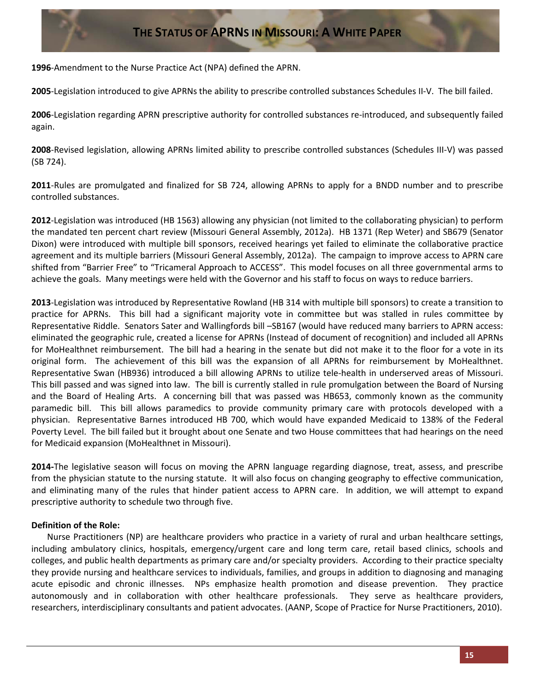**1996**-Amendment to the Nurse Practice Act (NPA) defined the APRN.

**2005**-Legislation introduced to give APRNs the ability to prescribe controlled substances Schedules II-V. The bill failed.

**2006**-Legislation regarding APRN prescriptive authority for controlled substances re-introduced, and subsequently failed again.

**2008**-Revised legislation, allowing APRNs limited ability to prescribe controlled substances (Schedules III-V) was passed (SB 724).

**2011**-Rules are promulgated and finalized for SB 724, allowing APRNs to apply for a BNDD number and to prescribe controlled substances.

**2012**-Legislation was introduced (HB 1563) allowing any physician (not limited to the collaborating physician) to perform the mandated ten percent chart review (Missouri General Assembly, 2012a). HB 1371 (Rep Weter) and SB679 (Senator Dixon) were introduced with multiple bill sponsors, received hearings yet failed to eliminate the collaborative practice agreement and its multiple barriers (Missouri General Assembly, 2012a). The campaign to improve access to APRN care shifted from "Barrier Free" to "Tricameral Approach to ACCESS". This model focuses on all three governmental arms to achieve the goals. Many meetings were held with the Governor and his staff to focus on ways to reduce barriers.

**2013**-Legislation was introduced by Representative Rowland (HB 314 with multiple bill sponsors) to create a transition to practice for APRNs. This bill had a significant majority vote in committee but was stalled in rules committee by Representative Riddle. Senators Sater and Wallingfords bill –SB167 (would have reduced many barriers to APRN access: eliminated the geographic rule, created a license for APRNs (Instead of document of recognition) and included all APRNs for MoHealthnet reimbursement. The bill had a hearing in the senate but did not make it to the floor for a vote in its original form. The achievement of this bill was the expansion of all APRNs for reimbursement by MoHealthnet. Representative Swan (HB936) introduced a bill allowing APRNs to utilize tele-health in underserved areas of Missouri. This bill passed and was signed into law. The bill is currently stalled in rule promulgation between the Board of Nursing and the Board of Healing Arts. A concerning bill that was passed was HB653, commonly known as the community paramedic bill. This bill allows paramedics to provide community primary care with protocols developed with a physician. Representative Barnes introduced HB 700, which would have expanded Medicaid to 138% of the Federal Poverty Level. The bill failed but it brought about one Senate and two House committees that had hearings on the need for Medicaid expansion (MoHealthnet in Missouri).

**2014-**The legislative season will focus on moving the APRN language regarding diagnose, treat, assess, and prescribe from the physician statute to the nursing statute. It will also focus on changing geography to effective communication, and eliminating many of the rules that hinder patient access to APRN care. In addition, we will attempt to expand prescriptive authority to schedule two through five.

### **Definition of the Role:**

Nurse Practitioners (NP) are healthcare providers who practice in a variety of rural and urban healthcare settings, including ambulatory clinics, hospitals, emergency/urgent care and long term care, retail based clinics, schools and colleges, and public health departments as primary care and/or specialty providers. According to their practice specialty they provide nursing and healthcare services to individuals, families, and groups in addition to diagnosing and managing acute episodic and chronic illnesses. NPs emphasize health promotion and disease prevention. They practice autonomously and in collaboration with other healthcare professionals. They serve as healthcare providers, researchers, interdisciplinary consultants and patient advocates. (AANP, Scope of Practice for Nurse Practitioners, 2010).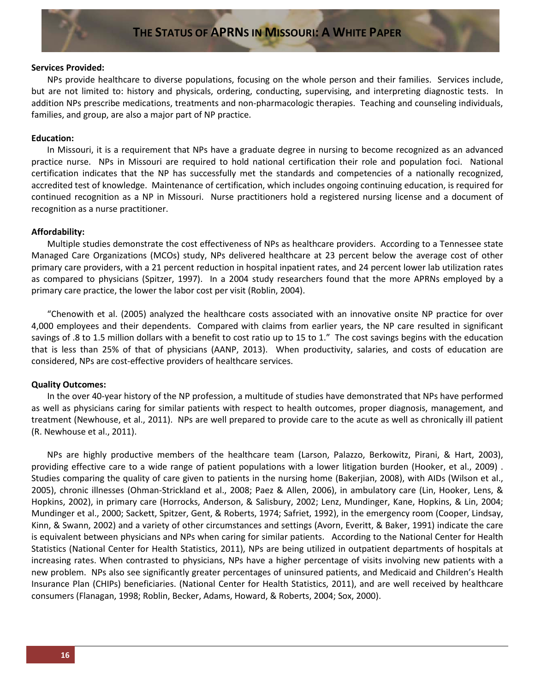#### **Services Provided:**

NPs provide healthcare to diverse populations, focusing on the whole person and their families. Services include, but are not limited to: history and physicals, ordering, conducting, supervising, and interpreting diagnostic tests. In addition NPs prescribe medications, treatments and non-pharmacologic therapies. Teaching and counseling individuals, families, and group, are also a major part of NP practice.

#### **Education:**

In Missouri, it is a requirement that NPs have a graduate degree in nursing to become recognized as an advanced practice nurse. NPs in Missouri are required to hold national certification their role and population foci. National certification indicates that the NP has successfully met the standards and competencies of a nationally recognized, accredited test of knowledge. Maintenance of certification, which includes ongoing continuing education, is required for continued recognition as a NP in Missouri. Nurse practitioners hold a registered nursing license and a document of recognition as a nurse practitioner.

#### **Affordability:**

Multiple studies demonstrate the cost effectiveness of NPs as healthcare providers. According to a Tennessee state Managed Care Organizations (MCOs) study, NPs delivered healthcare at 23 percent below the average cost of other primary care providers, with a 21 percent reduction in hospital inpatient rates, and 24 percent lower lab utilization rates as compared to physicians (Spitzer, 1997). In a 2004 study researchers found that the more APRNs employed by a primary care practice, the lower the labor cost per visit (Roblin, 2004).

"Chenowith et al. (2005) analyzed the healthcare costs associated with an innovative onsite NP practice for over 4,000 employees and their dependents. Compared with claims from earlier years, the NP care resulted in significant savings of .8 to 1.5 million dollars with a benefit to cost ratio up to 15 to 1." The cost savings begins with the education that is less than 25% of that of physicians (AANP, 2013). When productivity, salaries, and costs of education are considered, NPs are cost-effective providers of healthcare services.

#### **Quality Outcomes:**

In the over 40-year history of the NP profession, a multitude of studies have demonstrated that NPs have performed as well as physicians caring for similar patients with respect to health outcomes, proper diagnosis, management, and treatment (Newhouse, et al., 2011). NPs are well prepared to provide care to the acute as well as chronically ill patient (R. Newhouse et al., 2011).

NPs are highly productive members of the healthcare team (Larson, Palazzo, Berkowitz, Pirani, & Hart, 2003), providing effective care to a wide range of patient populations with a lower litigation burden (Hooker, et al., 2009) . Studies comparing the quality of care given to patients in the nursing home (Bakerjian, 2008), with AIDs (Wilson et al., 2005), chronic illnesses (Ohman-Strickland et al., 2008; Paez & Allen, 2006), in ambulatory care (Lin, Hooker, Lens, & Hopkins, 2002), in primary care (Horrocks, Anderson, & Salisbury, 2002; Lenz, Mundinger, Kane, Hopkins, & Lin, 2004; Mundinger et al., 2000; Sackett, Spitzer, Gent, & Roberts, 1974; Safriet, 1992), in the emergency room (Cooper, Lindsay, Kinn, & Swann, 2002) and a variety of other circumstances and settings (Avorn, Everitt, & Baker, 1991) indicate the care is equivalent between physicians and NPs when caring for similar patients. According to the National Center for Health Statistics (National Center for Health Statistics, 2011), NPs are being utilized in outpatient departments of hospitals at increasing rates. When contrasted to physicians, NPs have a higher percentage of visits involving new patients with a new problem. NPs also see significantly greater percentages of uninsured patients, and Medicaid and Children's Health Insurance Plan (CHIPs) beneficiaries. (National Center for Health Statistics, 2011), and are well received by healthcare consumers (Flanagan, 1998; Roblin, Becker, Adams, Howard, & Roberts, 2004; Sox, 2000).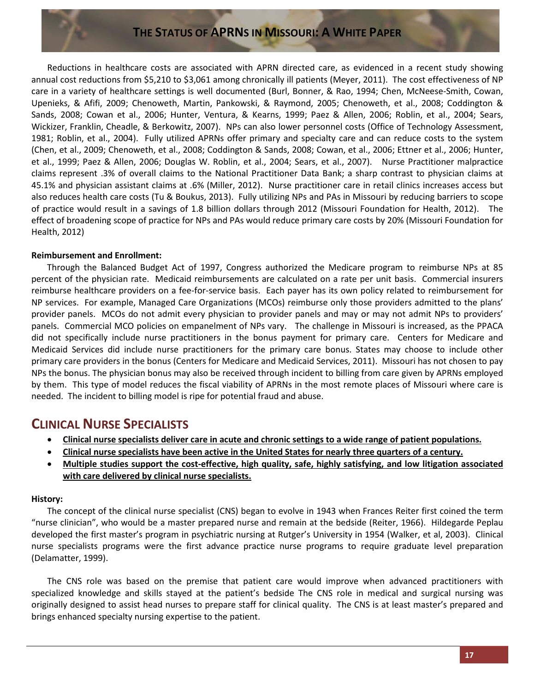Reductions in healthcare costs are associated with APRN directed care, as evidenced in a recent study showing annual cost reductions from \$5,210 to \$3,061 among chronically ill patients (Meyer, 2011). The cost effectiveness of NP care in a variety of healthcare settings is well documented (Burl, Bonner, & Rao, 1994; Chen, McNeese-Smith, Cowan, Upenieks, & Afifi, 2009; Chenoweth, Martin, Pankowski, & Raymond, 2005; Chenoweth, et al., 2008; Coddington & Sands, 2008; Cowan et al., 2006; Hunter, Ventura, & Kearns, 1999; Paez & Allen, 2006; Roblin, et al., 2004; Sears, Wickizer, Franklin, Cheadle, & Berkowitz, 2007). NPs can also lower personnel costs (Office of Technology Assessment, 1981; Roblin, et al., 2004). Fully utilized APRNs offer primary and specialty care and can reduce costs to the system (Chen, et al., 2009; Chenoweth, et al., 2008; Coddington & Sands, 2008; Cowan, et al., 2006; Ettner et al., 2006; Hunter, et al., 1999; Paez & Allen, 2006; Douglas W. Roblin, et al., 2004; Sears, et al., 2007). Nurse Practitioner malpractice claims represent .3% of overall claims to the National Practitioner Data Bank; a sharp contrast to physician claims at 45.1% and physician assistant claims at .6% (Miller, 2012). Nurse practitioner care in retail clinics increases access but also reduces health care costs (Tu & Boukus, 2013). Fully utilizing NPs and PAs in Missouri by reducing barriers to scope of practice would result in a savings of 1.8 billion dollars through 2012 (Missouri Foundation for Health, 2012). The effect of broadening scope of practice for NPs and PAs would reduce primary care costs by 20% (Missouri Foundation for Health, 2012)

#### **Reimbursement and Enrollment:**

Through the Balanced Budget Act of 1997, Congress authorized the Medicare program to reimburse NPs at 85 percent of the physician rate. Medicaid reimbursements are calculated on a rate per unit basis. Commercial insurers reimburse healthcare providers on a fee-for-service basis. Each payer has its own policy related to reimbursement for NP services. For example, Managed Care Organizations (MCOs) reimburse only those providers admitted to the plans' provider panels. MCOs do not admit every physician to provider panels and may or may not admit NPs to providers' panels. Commercial MCO policies on empanelment of NPs vary. The challenge in Missouri is increased, as the PPACA did not specifically include nurse practitioners in the bonus payment for primary care. Centers for Medicare and Medicaid Services did include nurse practitioners for the primary care bonus. States may choose to include other primary care providers in the bonus (Centers for Medicare and Medicaid Services, 2011). Missouri has not chosen to pay NPs the bonus. The physician bonus may also be received through incident to billing from care given by APRNs employed by them. This type of model reduces the fiscal viability of APRNs in the most remote places of Missouri where care is needed. The incident to billing model is ripe for potential fraud and abuse.

### **CLINICAL NURSE SPECIALISTS**

- **Clinical nurse specialists deliver care in acute and chronic settings to a wide range of patient populations.**
- **Clinical nurse specialists have been active in the United States for nearly three quarters of a century.**
- **Multiple studies support the cost-effective, high quality, safe, highly satisfying, and low litigation associated with care delivered by clinical nurse specialists.**

### **History:**

The concept of the clinical nurse specialist (CNS) began to evolve in 1943 when Frances Reiter first coined the term "nurse clinician", who would be a master prepared nurse and remain at the bedside (Reiter, 1966). Hildegarde Peplau developed the first master's program in psychiatric nursing at Rutger's University in 1954 (Walker, et al, 2003). Clinical nurse specialists programs were the first advance practice nurse programs to require graduate level preparation (Delamatter, 1999).

The CNS role was based on the premise that patient care would improve when advanced practitioners with specialized knowledge and skills stayed at the patient's bedside The CNS role in medical and surgical nursing was originally designed to assist head nurses to prepare staff for clinical quality. The CNS is at least master's prepared and brings enhanced specialty nursing expertise to the patient.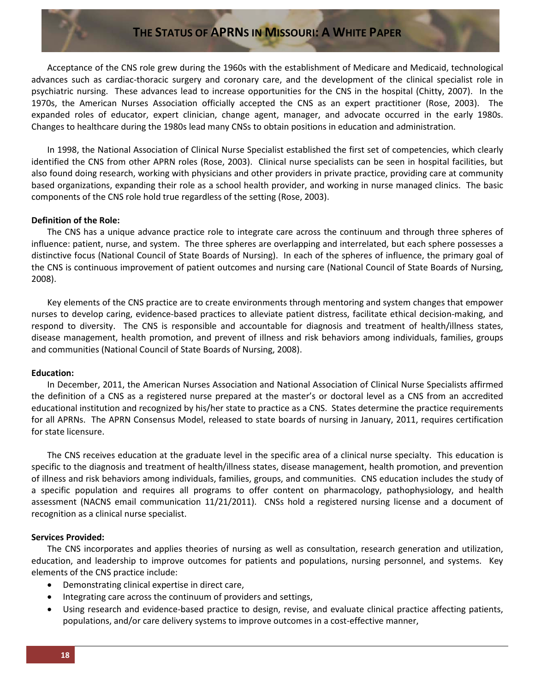Acceptance of the CNS role grew during the 1960s with the establishment of Medicare and Medicaid, technological advances such as cardiac-thoracic surgery and coronary care, and the development of the clinical specialist role in psychiatric nursing. These advances lead to increase opportunities for the CNS in the hospital (Chitty, 2007). In the 1970s, the American Nurses Association officially accepted the CNS as an expert practitioner (Rose, 2003). The expanded roles of educator, expert clinician, change agent, manager, and advocate occurred in the early 1980s. Changes to healthcare during the 1980s lead many CNSs to obtain positions in education and administration.

In 1998, the National Association of Clinical Nurse Specialist established the first set of competencies, which clearly identified the CNS from other APRN roles (Rose, 2003). Clinical nurse specialists can be seen in hospital facilities, but also found doing research, working with physicians and other providers in private practice, providing care at community based organizations, expanding their role as a school health provider, and working in nurse managed clinics. The basic components of the CNS role hold true regardless of the setting (Rose, 2003).

#### **Definition of the Role:**

The CNS has a unique advance practice role to integrate care across the continuum and through three spheres of influence: patient, nurse, and system. The three spheres are overlapping and interrelated, but each sphere possesses a distinctive focus (National Council of State Boards of Nursing). In each of the spheres of influence, the primary goal of the CNS is continuous improvement of patient outcomes and nursing care (National Council of State Boards of Nursing, 2008).

Key elements of the CNS practice are to create environments through mentoring and system changes that empower nurses to develop caring, evidence-based practices to alleviate patient distress, facilitate ethical decision-making, and respond to diversity. The CNS is responsible and accountable for diagnosis and treatment of health/illness states, disease management, health promotion, and prevent of illness and risk behaviors among individuals, families, groups and communities (National Council of State Boards of Nursing, 2008).

#### **Education:**

In December, 2011, the American Nurses Association and National Association of Clinical Nurse Specialists affirmed the definition of a CNS as a registered nurse prepared at the master's or doctoral level as a CNS from an accredited educational institution and recognized by his/her state to practice as a CNS. States determine the practice requirements for all APRNs. The APRN Consensus Model, released to state boards of nursing in January, 2011, requires certification for state licensure.

The CNS receives education at the graduate level in the specific area of a clinical nurse specialty. This education is specific to the diagnosis and treatment of health/illness states, disease management, health promotion, and prevention of illness and risk behaviors among individuals, families, groups, and communities. CNS education includes the study of a specific population and requires all programs to offer content on pharmacology, pathophysiology, and health assessment (NACNS email communication 11/21/2011). CNSs hold a registered nursing license and a document of recognition as a clinical nurse specialist.

#### **Services Provided:**

The CNS incorporates and applies theories of nursing as well as consultation, research generation and utilization, education, and leadership to improve outcomes for patients and populations, nursing personnel, and systems. Key elements of the CNS practice include:

- Demonstrating clinical expertise in direct care,
- Integrating care across the continuum of providers and settings,
- Using research and evidence-based practice to design, revise, and evaluate clinical practice affecting patients, populations, and/or care delivery systems to improve outcomes in a cost-effective manner,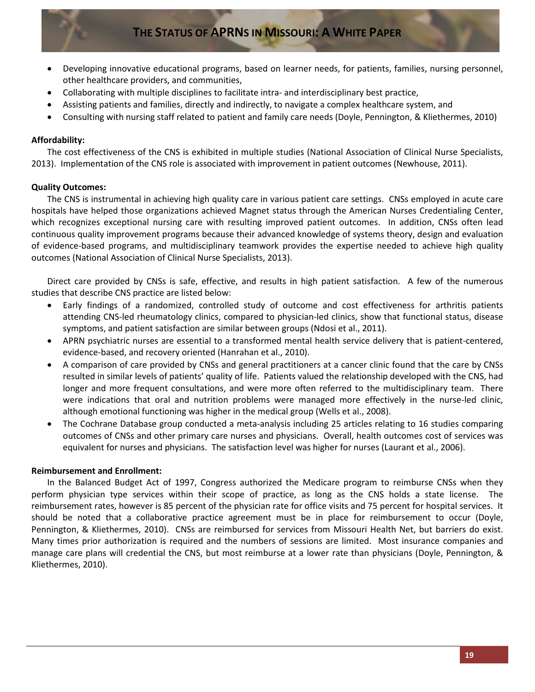- Developing innovative educational programs, based on learner needs, for patients, families, nursing personnel, other healthcare providers, and communities,
- Collaborating with multiple disciplines to facilitate intra- and interdisciplinary best practice,
- Assisting patients and families, directly and indirectly, to navigate a complex healthcare system, and
- Consulting with nursing staff related to patient and family care needs (Doyle, Pennington, & Kliethermes, 2010)

### **Affordability:**

The cost effectiveness of the CNS is exhibited in multiple studies (National Association of Clinical Nurse Specialists, 2013). Implementation of the CNS role is associated with improvement in patient outcomes (Newhouse, 2011).

### **Quality Outcomes:**

The CNS is instrumental in achieving high quality care in various patient care settings. CNSs employed in acute care hospitals have helped those organizations achieved Magnet status through the American Nurses Credentialing Center, which recognizes exceptional nursing care with resulting improved patient outcomes. In addition, CNSs often lead continuous quality improvement programs because their advanced knowledge of systems theory, design and evaluation of evidence-based programs, and multidisciplinary teamwork provides the expertise needed to achieve high quality outcomes (National Association of Clinical Nurse Specialists, 2013).

Direct care provided by CNSs is safe, effective, and results in high patient satisfaction. A few of the numerous studies that describe CNS practice are listed below:

- Early findings of a randomized, controlled study of outcome and cost effectiveness for arthritis patients attending CNS-led rheumatology clinics, compared to physician-led clinics, show that functional status, disease symptoms, and patient satisfaction are similar between groups (Ndosi et al., 2011).
- APRN psychiatric nurses are essential to a transformed mental health service delivery that is patient-centered, evidence-based, and recovery oriented (Hanrahan et al., 2010).
- A comparison of care provided by CNSs and general practitioners at a cancer clinic found that the care by CNSs resulted in similar levels of patients' quality of life. Patients valued the relationship developed with the CNS, had longer and more frequent consultations, and were more often referred to the multidisciplinary team. There were indications that oral and nutrition problems were managed more effectively in the nurse-led clinic, although emotional functioning was higher in the medical group (Wells et al., 2008).
- The Cochrane Database group conducted a meta-analysis including 25 articles relating to 16 studies comparing outcomes of CNSs and other primary care nurses and physicians. Overall, health outcomes cost of services was equivalent for nurses and physicians. The satisfaction level was higher for nurses (Laurant et al., 2006).

### **Reimbursement and Enrollment:**

In the Balanced Budget Act of 1997, Congress authorized the Medicare program to reimburse CNSs when they perform physician type services within their scope of practice, as long as the CNS holds a state license. The reimbursement rates, however is 85 percent of the physician rate for office visits and 75 percent for hospital services. It should be noted that a collaborative practice agreement must be in place for reimbursement to occur (Doyle, Pennington, & Kliethermes, 2010). CNSs are reimbursed for services from Missouri Health Net, but barriers do exist. Many times prior authorization is required and the numbers of sessions are limited. Most insurance companies and manage care plans will credential the CNS, but most reimburse at a lower rate than physicians (Doyle, Pennington, & Kliethermes, 2010).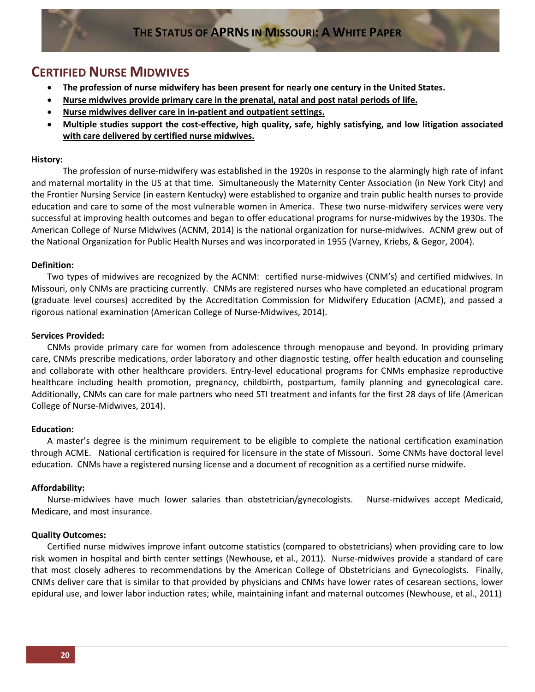### **CERTIFIED NURSE MIDWIVES**

- **The profession of nurse midwifery has been present for nearly one century in the United States.**
- **Nurse midwives provide primary care in the prenatal, natal and post natal periods of life.**
- **Nurse midwives deliver care in in-patient and outpatient settings.**
- **Multiple studies support the cost-effective, high quality, safe, highly satisfying, and low litigation associated with care delivered by certified nurse midwives.**

#### **History:**

The profession of nurse-midwifery was established in the 1920s in response to the alarmingly high rate of infant and maternal mortality in the US at that time. Simultaneously the Maternity Center Association (in New York City) and the Frontier Nursing Service (in eastern Kentucky) were established to organize and train public health nurses to provide education and care to some of the most vulnerable women in America. These two nurse-midwifery services were very successful at improving health outcomes and began to offer educational programs for nurse-midwives by the 1930s. The American College of Nurse Midwives (ACNM, 2014) is the national organization for nurse-midwives. ACNM grew out of the National Organization for Public Health Nurses and was incorporated in 1955 (Varney, Kriebs, & Gegor, 2004).

#### **Definition:**

Two types of midwives are recognized by the ACNM: certified nurse-midwives (CNM's) and certified midwives. In Missouri, only CNMs are practicing currently. CNMs are registered nurses who have completed an educational program (graduate level courses) accredited by the Accreditation Commission for Midwifery Education (ACME), and passed a rigorous national examination (American College of Nurse-Midwives, 2014).

#### **Services Provided:**

CNMs provide primary care for women from adolescence through menopause and beyond. In providing primary care, CNMs prescribe medications, order laboratory and other diagnostic testing, offer health education and counseling and collaborate with other healthcare providers. Entry-level educational programs for CNMs emphasize reproductive healthcare including health promotion, pregnancy, childbirth, postpartum, family planning and gynecological care. Additionally, CNMs can care for male partners who need STI treatment and infants for the first 28 days of life (American College of Nurse-Midwives, 2014).

#### **Education:**

A master's degree is the minimum requirement to be eligible to complete the national certification examination through ACME. National certification is required for licensure in the state of Missouri. Some CNMs have doctoral level education. CNMs have a registered nursing license and a document of recognition as a certified nurse midwife.

### **Affordability:**

Nurse-midwives have much lower salaries than obstetrician/gynecologists. Nurse-midwives accept Medicaid, Medicare, and most insurance.

#### **Quality Outcomes:**

Certified nurse midwives improve infant outcome statistics (compared to obstetricians) when providing care to low risk women in hospital and birth center settings (Newhouse, et al., 2011). Nurse-midwives provide a standard of care that most closely adheres to recommendations by the American College of Obstetricians and Gynecologists. Finally, CNMs deliver care that is similar to that provided by physicians and CNMs have lower rates of cesarean sections, lower epidural use, and lower labor induction rates; while, maintaining infant and maternal outcomes (Newhouse, et al., 2011)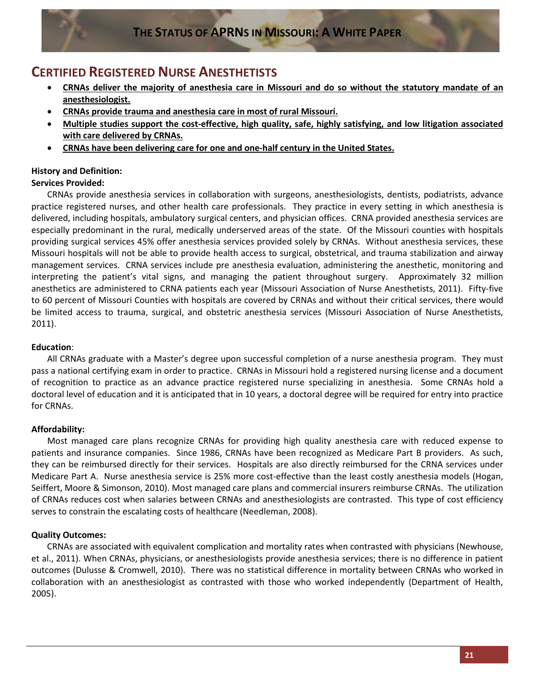### **CERTIFIED REGISTERED NURSE ANESTHETISTS**

- **CRNAs deliver the majority of anesthesia care in Missouri and do so without the statutory mandate of an anesthesiologist.**
- **CRNAs provide trauma and anesthesia care in most of rural Missouri.**
- **Multiple studies support the cost-effective, high quality, safe, highly satisfying, and low litigation associated with care delivered by CRNAs.**
- **CRNAs have been delivering care for one and one-half century in the United States.**

### **History and Definition:**

### **Services Provided:**

CRNAs provide anesthesia services in collaboration with surgeons, anesthesiologists, dentists, podiatrists, advance practice registered nurses, and other health care professionals. They practice in every setting in which anesthesia is delivered, including hospitals, ambulatory surgical centers, and physician offices. CRNA provided anesthesia services are especially predominant in the rural, medically underserved areas of the state. Of the Missouri counties with hospitals providing surgical services 45% offer anesthesia services provided solely by CRNAs. Without anesthesia services, these Missouri hospitals will not be able to provide health access to surgical, obstetrical, and trauma stabilization and airway management services. CRNA services include pre anesthesia evaluation, administering the anesthetic, monitoring and interpreting the patient's vital signs, and managing the patient throughout surgery. Approximately 32 million anesthetics are administered to CRNA patients each year (Missouri Association of Nurse Anesthetists, 2011). Fifty-five to 60 percent of Missouri Counties with hospitals are covered by CRNAs and without their critical services, there would be limited access to trauma, surgical, and obstetric anesthesia services (Missouri Association of Nurse Anesthetists, 2011).

### **Education**:

All CRNAs graduate with a Master's degree upon successful completion of a nurse anesthesia program. They must pass a national certifying exam in order to practice. CRNAs in Missouri hold a registered nursing license and a document of recognition to practice as an advance practice registered nurse specializing in anesthesia. Some CRNAs hold a doctoral level of education and it is anticipated that in 10 years, a doctoral degree will be required for entry into practice for CRNAs.

### **Affordability:**

Most managed care plans recognize CRNAs for providing high quality anesthesia care with reduced expense to patients and insurance companies. Since 1986, CRNAs have been recognized as Medicare Part B providers. As such, they can be reimbursed directly for their services. Hospitals are also directly reimbursed for the CRNA services under Medicare Part A. Nurse anesthesia service is 25% more cost-effective than the least costly anesthesia models (Hogan, Seiffert, Moore & Simonson, 2010). Most managed care plans and commercial insurers reimburse CRNAs. The utilization of CRNAs reduces cost when salaries between CRNAs and anesthesiologists are contrasted. This type of cost efficiency serves to constrain the escalating costs of healthcare (Needleman, 2008).

### **Quality Outcomes:**

CRNAs are associated with equivalent complication and mortality rates when contrasted with physicians (Newhouse, et al., 2011). When CRNAs, physicians, or anesthesiologists provide anesthesia services; there is no difference in patient outcomes (Dulusse & Cromwell, 2010). There was no statistical difference in mortality between CRNAs who worked in collaboration with an anesthesiologist as contrasted with those who worked independently (Department of Health, 2005).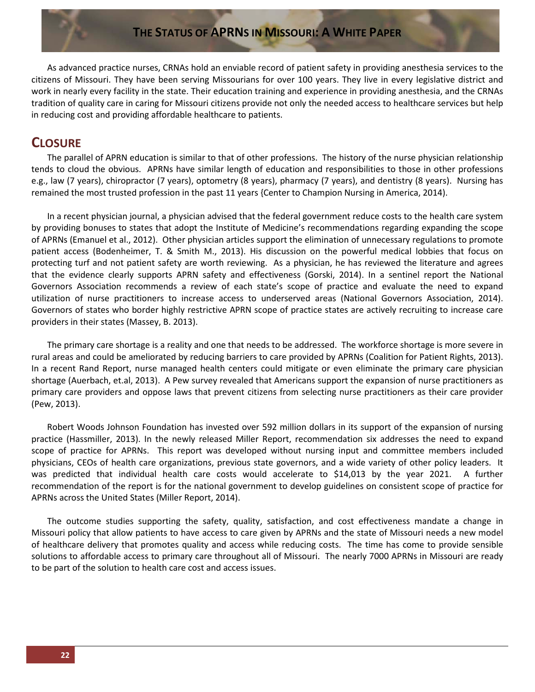As advanced practice nurses, CRNAs hold an enviable record of patient safety in providing anesthesia services to the citizens of Missouri. They have been serving Missourians for over 100 years. They live in every legislative district and work in nearly every facility in the state. Their education training and experience in providing anesthesia, and the CRNAs tradition of quality care in caring for Missouri citizens provide not only the needed access to healthcare services but help in reducing cost and providing affordable healthcare to patients.

### **CLOSURE**

The parallel of APRN education is similar to that of other professions. The history of the nurse physician relationship tends to cloud the obvious. APRNs have similar length of education and responsibilities to those in other professions e.g., law (7 years), chiropractor (7 years), optometry (8 years), pharmacy (7 years), and dentistry (8 years). Nursing has remained the most trusted profession in the past 11 years {Center to Champion Nursing in America, 2014).

In a recent physician journal, a physician advised that the federal government reduce costs to the health care system by providing bonuses to states that adopt the Institute of Medicine's recommendations regarding expanding the scope of APRNs (Emanuel et al., 2012). Other physician articles support the elimination of unnecessary regulations to promote patient access (Bodenheimer, T. & Smith M., 2013). His discussion on the powerful medical lobbies that focus on protecting turf and not patient safety are worth reviewing. As a physician, he has reviewed the literature and agrees that the evidence clearly supports APRN safety and effectiveness (Gorski, 2014). In a sentinel report the National Governors Association recommends a review of each state's scope of practice and evaluate the need to expand utilization of nurse practitioners to increase access to underserved areas (National Governors Association, 2014). Governors of states who border highly restrictive APRN scope of practice states are actively recruiting to increase care providers in their states (Massey, B. 2013).

The primary care shortage is a reality and one that needs to be addressed. The workforce shortage is more severe in rural areas and could be ameliorated by reducing barriers to care provided by APRNs (Coalition for Patient Rights, 2013). In a recent Rand Report, nurse managed health centers could mitigate or even eliminate the primary care physician shortage (Auerbach, et.al, 2013). A Pew survey revealed that Americans support the expansion of nurse practitioners as primary care providers and oppose laws that prevent citizens from selecting nurse practitioners as their care provider (Pew, 2013).

Robert Woods Johnson Foundation has invested over 592 million dollars in its support of the expansion of nursing practice (Hassmiller, 2013). In the newly released Miller Report, recommendation six addresses the need to expand scope of practice for APRNs. This report was developed without nursing input and committee members included physicians, CEOs of health care organizations, previous state governors, and a wide variety of other policy leaders. It was predicted that individual health care costs would accelerate to \$14,013 by the year 2021. A further recommendation of the report is for the national government to develop guidelines on consistent scope of practice for APRNs across the United States (Miller Report, 2014).

The outcome studies supporting the safety, quality, satisfaction, and cost effectiveness mandate a change in Missouri policy that allow patients to have access to care given by APRNs and the state of Missouri needs a new model of healthcare delivery that promotes quality and access while reducing costs. The time has come to provide sensible solutions to affordable access to primary care throughout all of Missouri. The nearly 7000 APRNs in Missouri are ready to be part of the solution to health care cost and access issues.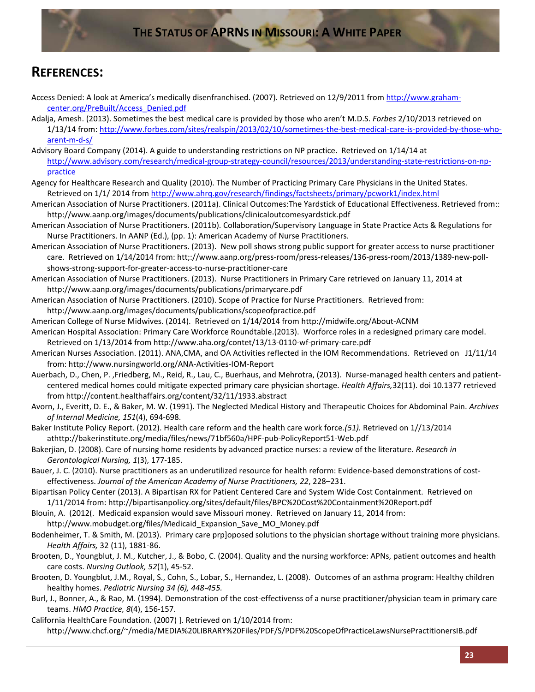### **REFERENCES:**

- Access Denied: A look at America's medically disenfranchised. (2007). Retrieved on 12/9/2011 from [http://www.graham](http://www.graham-center.org/PreBuilt/Access_Denied.pdf)[center.org/PreBuilt/Access\\_Denied.pdf](http://www.graham-center.org/PreBuilt/Access_Denied.pdf)
- Adalja, Amesh. (2013). Sometimes the best medical care is provided by those who aren't M.D.S. *Forbes* 2/10/2013 retrieved on 1/13/14 from: [http://www.forbes.com/sites/realspin/2013/02/10/sometimes-the-best-medical-care-is-provided-by-those-who](http://www.forbes.com/sites/realspin/2013/02/10/sometimes-the-best-medical-care-is-provided-by-those-who-arent-m-d-s/)[arent-m-d-s/](http://www.forbes.com/sites/realspin/2013/02/10/sometimes-the-best-medical-care-is-provided-by-those-who-arent-m-d-s/)
- Advisory Board Company (2014). A guide to understanding restrictions on NP practice. Retrieved on 1/14/14 at [http://www.advisory.com/research/medical-group-strategy-council/resources/2013/understanding-state-restrictions-on-np](http://www.advisory.com/research/medical-group-strategy-council/resources/2013/understanding-state-restrictions-on-np-practice)[practice](http://www.advisory.com/research/medical-group-strategy-council/resources/2013/understanding-state-restrictions-on-np-practice)
- Agency for Healthcare Research and Quality (2010). The Number of Practicing Primary Care Physicians in the United States. Retrieved on 1/1/ 2014 from<http://www.ahrq.gov/research/findings/factsheets/primary/pcwork1/index.html>
- American Association of Nurse Practitioners. (2011a). Clinical Outcomes:The Yardstick of Educational Effectiveness. Retrieved from:: http://www.aanp.org/images/documents/publications/clinicaloutcomesyardstick.pdf
- American Association of Nurse Practitioners. (2011b). Collaboration/Supervisory Language in State Practice Acts & Regulations for Nurse Practitioners. In AANP (Ed.), (pp. 1): American Academy of Nurse Practitioners.
- American Association of Nurse Practitioners. (2013). New poll shows strong public support for greater access to nurse practitioner care. Retrieved on 1/14/2014 from: htt;://www.aanp.org/press-room/press-releases/136-press-room/2013/1389-new-pollshows-strong-support-for-greater-access-to-nurse-practitioner-care
- American Association of Nurse Practitioners. (2013). Nurse Practitioners in Primary Care retrieved on January 11, 2014 at http://www.aanp.org/images/documents/publications/primarycare.pdf
- American Association of Nurse Practitioners. (2010). Scope of Practice for Nurse Practitioners. Retrieved from: http://www.aanp.org/images/documents/publications/scopeofpractice.pdf
- American College of Nurse Midwives. (2014). Retrieved on 1/14/2014 from http://midwife.org/About-ACNM
- American Hospital Association: Primary Care Workforce Roundtable.(2013). Worforce roles in a redesigned primary care model. Retrieved on 1/13/2014 from http://www.aha.org/contet/13/13-0110-wf-primary-care.pdf
- American Nurses Association. (2011). ANA, CMA, and OA Activities reflected in the IOM Recommendations. Retrieved on J1/11/14 from: http://www.nursingworld.org/ANA-Activities-IOM-Report
- Auerbach, D., Chen, P. ,Friedberg, M., Reid, R., Lau, C., Buerhaus, and Mehrotra, (2013). Nurse-managed health centers and patientcentered medical homes could mitigate expected primary care physician shortage. *Health Affairs,*32(11). doi 10.1377 retrieved from http://content.healthaffairs.org/content/32/11/1933.abstract
- Avorn, J., Everitt, D. E., & Baker, M. W. (1991). The Neglected Medical History and Therapeutic Choices for Abdominal Pain. *Archives of Internal Medicine, 151*(4), 694-698.
- Baker Institute Policy Report. (2012). Health care reform and the health care work force.*(51).* Retrieved on 1//13/2014 athttp://bakerinstitute.org/media/files/news/71bf560a/HPF-pub-PolicyReport51-Web.pdf
- Bakerjian, D. (2008). Care of nursing home residents by advanced practice nurses: a review of the literature. *Research in Gerontological Nursing, 1*(3), 177-185.
- Bauer, J. C. (2010). Nurse practitioners as an underutilized resource for health reform: Evidence-based demonstrations of costeffectiveness. *Journal of the American Academy of Nurse Practitioners, 22*, 228–231.
- Bipartisan Policy Center (2013). A Bipartisan RX for Patient Centered Care and System Wide Cost Containment. Retrieved on 1/11/2014 from: http://bipartisanpolicy.org/sites/default/files/BPC%20Cost%20Containment%20Report.pdf
- Blouin, A. (2012(. Medicaid expansion would save Missouri money. Retrieved on January 11, 2014 from:
	- http://www.mobudget.org/files/Medicaid\_Expansion\_Save\_MO\_Money.pdf
- Bodenheimer, T. & Smith, M. (2013). Primary care prp]oposed solutions to the physician shortage without training more physicians. *Health Affairs,* 32 (11), 1881-86.
- Brooten, D., Youngblut, J. M., Kutcher, J., & Bobo, C. (2004). Quality and the nursing workforce: APNs, patient outcomes and health care costs. *Nursing Outlook, 52*(1), 45-52.
- Brooten, D. Youngblut, J.M., Royal, S., Cohn, S., Lobar, S., Hernandez, L. (2008). Outcomes of an asthma program: Healthy children healthy homes. *Pediatric Nursing 34 (6), 448-455.*
- Burl, J., Bonner, A., & Rao, M. (1994). Demonstration of the cost-effectivenss of a nurse practitioner/physician team in primary care teams. *HMO Practice, 8*(4), 156-157.
- California HealthCare Foundation. (2007) ]. Retrieved on 1/10/2014 from: http://www.chcf.org/~/media/MEDIA%20LIBRARY%20Files/PDF/S/PDF%20ScopeOfPracticeLawsNursePractitionersIB.pdf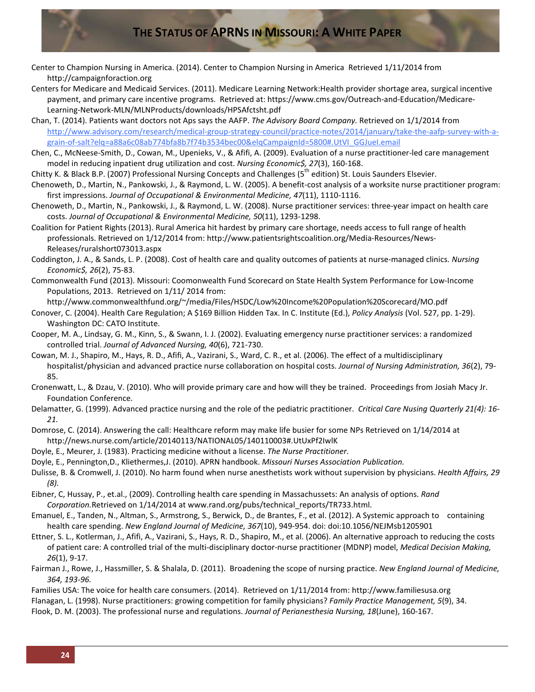- Center to Champion Nursing in America. (2014). Center to Champion Nursing in America Retrieved 1/11/2014 from http://campaignforaction.org
- Centers for Medicare and Medicaid Services. (2011). Medicare Learning Network:Health provider shortage area, surgical incentive payment, and primary care incentive programs. Retrieved at: https://www.cms.gov/Outreach-and-Education/Medicare-Learning-Network-MLN/MLNProducts/downloads/HPSAfctsht.pdf
- Chan, T. (2014). Patients want doctors not Aps says the AAFP. *The Advisory Board Company.* Retrieved on 1/1/2014 from [http://www.advisory.com/research/medical-group-strategy-council/practice-notes/2014/january/take-the-aafp-survey-with-a](http://www.advisory.com/research/medical-group-strategy-council/practice-notes/2014/january/take-the-aafp-survey-with-a-grain-of-salt?elq=a88a6c08ab774bfa8b7f74b3534bec00&elqCampaignId=5800#.UtVI_GGJueI.email)[grain-of-salt?elq=a88a6c08ab774bfa8b7f74b3534bec00&elqCampaignId=5800#.UtVI\\_GGJueI.email](http://www.advisory.com/research/medical-group-strategy-council/practice-notes/2014/january/take-the-aafp-survey-with-a-grain-of-salt?elq=a88a6c08ab774bfa8b7f74b3534bec00&elqCampaignId=5800#.UtVI_GGJueI.email)
- Chen, C., McNeese-Smith, D., Cowan, M., Upenieks, V., & Afifi, A. (2009). Evaluation of a nurse practitioner-led care management model in reducing inpatient drug utilization and cost. *Nursing Economic\$, 27*(3), 160-168.
- Chitty K. & Black B.P. (2007) Professional Nursing Concepts and Challenges (5<sup>th</sup> edition) St. Louis Saunders Elsevier.
- Chenoweth, D., Martin, N., Pankowski, J., & Raymond, L. W. (2005). A benefit-cost analysis of a worksite nurse practitioner program: first impressions. *Journal of Occupational & Environmental Medicine, 47*(11), 1110-1116.
- Chenoweth, D., Martin, N., Pankowski, J., & Raymond, L. W. (2008). Nurse practitioner services: three-year impact on health care costs. *Journal of Occupational & Environmental Medicine, 50*(11), 1293-1298.
- Coalition for Patient Rights (2013). Rural America hit hardest by primary care shortage, needs access to full range of health professionals. Retrieved on 1/12/2014 from: http://www.patientsrightscoalition.org/Media-Resources/News-Releases/ruralshort073013.aspx
- Coddington, J. A., & Sands, L. P. (2008). Cost of health care and quality outcomes of patients at nurse-managed clinics. *Nursing Economic\$, 26*(2), 75-83.
- Commonwealth Fund (2013). Missouri: Coomonwealth Fund Scorecard on State Health System Performance for Low-Income Populations, 2013. Retrieved on 1/11/ 2014 from:
- http://www.commonwealthfund.org/~/media/Files/HSDC/Low%20Income%20Population%20Scorecard/MO.pdf
- Conover, C. (2004). Health Care Regulation; A \$169 Billion Hidden Tax. In C. Institute (Ed.), *Policy Analysis* (Vol. 527, pp. 1-29). Washington DC: CATO Institute.
- Cooper, M. A., Lindsay, G. M., Kinn, S., & Swann, I. J. (2002). Evaluating emergency nurse practitioner services: a randomized controlled trial. *Journal of Advanced Nursing, 40*(6), 721-730.
- Cowan, M. J., Shapiro, M., Hays, R. D., Afifi, A., Vazirani, S., Ward, C. R., et al. (2006). The effect of a multidisciplinary hospitalist/physician and advanced practice nurse collaboration on hospital costs. *Journal of Nursing Administration, 36*(2), 79- 85.
- Cronenwatt, L., & Dzau, V. (2010). Who will provide primary care and how will they be trained. Proceedings from Josiah Macy Jr. Foundation Conference.
- Delamatter, G. (1999). Advanced practice nursing and the role of the pediatric practitioner. *Critical Care Nusing Quarterly 21(4): 16- 21.*
- Domrose, C. (2014). Answering the call: Healthcare reform may make life busier for some NPs Retrieved on 1/14/2014 at http://news.nurse.com/article/20140113/NATIONAL05/140110003#.UtUxPf2IwlK
- Doyle, E., Meurer, J. (1983). Practicing medicine without a license. *The Nurse Practitioner*.
- Doyle, E., Pennington,D., Kliethermes,J. (2010). APRN handbook. *Missouri Nurses Association Publication.*
- Dulisse, B. & Cromwell, J. (2010). No harm found when nurse anesthetists work without supervision by physicians. *Health Affairs, 29 (8).*
- Eibner, C, Hussay, P., et.al., (2009). Controlling health care spending in Massachussets: An analysis of options. *Rand Corporation.*Retrieved on 1/14/2014 at www.rand.org/pubs/technical\_reports/TR733.html.
- Emanuel, E., Tanden, N., Altman, S., Armstrong, S., Berwick, D., de Brantes, F., et al. (2012). A Systemic approach to containing health care spending. *New England Journal of Medicine, 367*(10), 949-954. doi: doi:10.1056/NEJMsb1205901
- Ettner, S. L., Kotlerman, J., Afifi, A., Vazirani, S., Hays, R. D., Shapiro, M., et al. (2006). An alternative approach to reducing the costs of patient care: A controlled trial of the multi-disciplinary doctor-nurse practitioner (MDNP) model, *Medical Decision Making, 26*(1), 9-17.
- Fairman J., Rowe, J., Hassmiller, S. & Shalala, D. (2011). Broadening the scope of nursing practice. *New England Journal of Medicine, 364, 193-96.*
- Families USA: The voice for health care consumers. (2014). Retrieved on 1/11/2014 from: http://www.familiesusa.org
- Flanagan, L. (1998). Nurse practitioners: growing competition for family physicians? *Family Practice Management, 5*(9), 34.
- Flook, D. M. (2003). The professional nurse and regulations. *Journal of Perianesthesia Nursing, 18*(June), 160-167.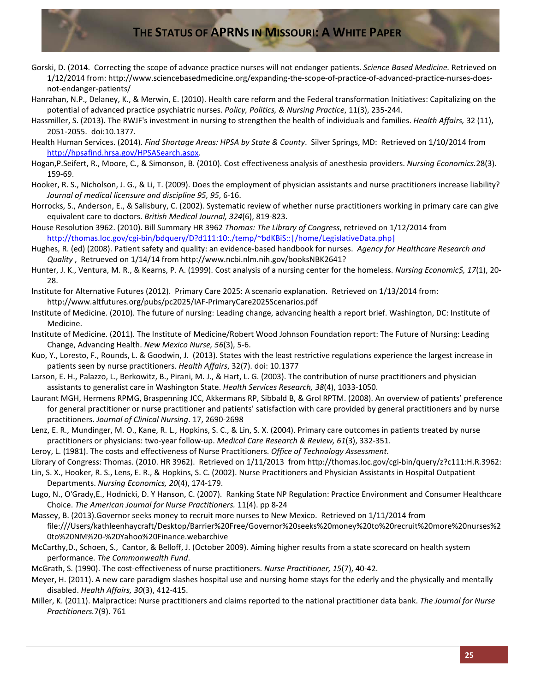- Gorski, D. (2014. Correcting the scope of advance practice nurses will not endanger patients. *Science Based Medicine.* Retrieved on 1/12/2014 from: http://www.sciencebasedmedicine.org/expanding-the-scope-of-practice-of-advanced-practice-nurses-doesnot-endanger-patients/
- Hanrahan, N.P., Delaney, K., & Merwin, E. (2010). Health care reform and the Federal transformation Initiatives: Capitalizing on the potential of advanced practice psychiatric nurses. *Policy, Politics, & Nursing Practice*, 11(3), 235-244.
- Hassmiller, S. (2013). The RWJF's investment in nursing to strengthen the health of individuals and families. *Health Affairs,* 32 (11), 2051-2055. doi:10.1377.
- Health Human Services. (2014). *Find Shortage Areas: HPSA by State & County*. Silver Springs, MD: Retrieved on 1/10/2014 from [http://hpsafind.hrsa.gov/HPSASearch.aspx.](http://hpsafind.hrsa.gov/HPSASearch.aspx)
- Hogan,P.Seifert, R., Moore, C., & Simonson, B. (2010). Cost effectiveness analysis of anesthesia providers. *Nursing Economics.*28(3). 159-69.
- Hooker, R. S., Nicholson, J. G., & Li, T. (2009). Does the employment of physician assistants and nurse practitioners increase liability? *Journal of medical licensure and discipline 95, 95*, 6-16.
- Horrocks, S., Anderson, E., & Salisbury, C. (2002). Systematic review of whether nurse practitioners working in primary care can give equivalent care to doctors. *British Medical Journal, 324*(6), 819-823.
- House Resolution 3962. (2010). Bill Summary HR 3962 *Thomas: The Library of Congress*, retrieved on 1/12/2014 from [http://thomas.loc.gov/cgi-bin/bdquery/D?d111:10:./temp/~bdKBiS::|/home/LegislativeData.php|](http://thomas.loc.gov/cgi-bin/bdquery/D?d111:10:./temp/~bdKBiS::%7C/home/LegislativeData.php%7C)
- Hughes, R. (ed) (2008). Patient safety and quality: an evidence-based handbook for nurses. *Agency for Healthcare Research and Quality* , Retrueved on 1/14/14 from http://www.ncbi.nlm.nih.gov/booksNBK2641?
- Hunter, J. K., Ventura, M. R., & Kearns, P. A. (1999). Cost analysis of a nursing center for the homeless. *Nursing Economic\$, 17*(1), 20- 28.
- Institute for Alternative Futures (2012). Primary Care 2025: A scenario explanation. Retrieved on 1/13/2014 from: http://www.altfutures.org/pubs/pc2025/IAF-PrimaryCare2025Scenarios.pdf
- Institute of Medicine. (2010). The future of nursing: Leading change, advancing health a report brief. Washington, DC: Institute of Medicine.
- Institute of Medicine. (2011). The Institute of Medicine/Robert Wood Johnson Foundation report: The Future of Nursing: Leading Change, Advancing Health. *New Mexico Nurse, 56*(3), 5-6.
- Kuo, Y., Loresto, F., Rounds, L. & Goodwin, J. (2013). States with the least restrictive regulations experience the largest increase in patients seen by nurse practitioners. *Health Affairs*, 32(7). doi: 10.1377
- Larson, E. H., Palazzo, L., Berkowitz, B., Pirani, M. J., & Hart, L. G. (2003). The contribution of nurse practitioners and physician assistants to generalist care in Washington State. *Health Services Research, 38*(4), 1033-1050.
- Laurant MGH, Hermens RPMG, Braspenning JCC, Akkermans RP, Sibbald B, & Grol RPTM. (2008). An overview of patients' preference for general practitioner or nurse practitioner and patients' satisfaction with care provided by general practitioners and by nurse practitioners. *Journal of Clinical Nursing*. 17, 2690-2698
- Lenz, E. R., Mundinger, M. O., Kane, R. L., Hopkins, S. C., & Lin, S. X. (2004). Primary care outcomes in patients treated by nurse practitioners or physicians: two-year follow-up. *Medical Care Research & Review, 61*(3), 332-351.

Leroy, L. (1981). The costs and effectiveness of Nurse Practitioners. *Office of Technology Assessment.*

- Library of Congress: Thomas. (2010. HR 3962). Retrieved on 1/11/2013 from http://thomas.loc.gov/cgi-bin/query/z?c111:H.R.3962:
- Lin, S. X., Hooker, R. S., Lens, E. R., & Hopkins, S. C. (2002). Nurse Practitioners and Physician Assistants in Hospital Outpatient Departments. *Nursing Economics, 20*(4), 174-179.
- Lugo, N., O'Grady,E., Hodnicki, D. Y Hanson, C. (2007). Ranking State NP Regulation: Practice Environment and Consumer Healthcare Choice. *The American Journal for Nurse Practitioners.* 11(4). pp 8-24
- Massey, B. (2013).Governor seeks money to recruit more nurses to New Mexico. Retrieved on 1/11/2014 from file:///Users/kathleenhaycraft/Desktop/Barrier%20Free/Governor%20seeks%20money%20to%20recruit%20more%20nurses%2 0to%20NM%20-%20Yahoo%20Finance.webarchive
- McCarthy,D., Schoen, S., Cantor, & Belloff, J. (October 2009). Aiming higher results from a state scorecard on health system performance. *The Commonwealth Fund*.
- McGrath, S. (1990). The cost-effectiveness of nurse practitioners. *Nurse Practitioner, 15*(7), 40-42.
- Meyer, H. (2011). A new care paradigm slashes hospital use and nursing home stays for the ederly and the physically and mentally disabled. *Health Affairs, 30*(3), 412-415.
- Miller, K. (2011). Malpractice: Nurse practitioners and claims reported to the national practitioner data bank. *The Journal for Nurse Practitioners.*7(9). 761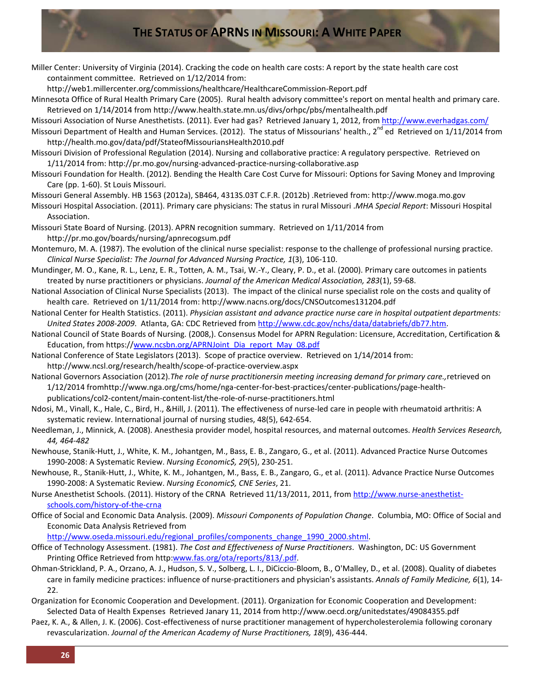Miller Center: University of Virginia (2014). Cracking the code on health care costs: A report by the state health care cost containment committee. Retrieved on 1/12/2014 from:

http://web1.millercenter.org/commissions/healthcare/HealthcareCommission-Report.pdf

Minnesota Office of Rural Health Primary Care (2005). Rural health advisory committee's report on mental health and primary care. Retrieved on 1/14/2014 from http://www.health.state.mn.us/divs/orhpc/pbs/mentalhealth.pdf

Missouri Association of Nurse Anesthetists. (2011). Ever had gas? Retrieved January 1, 2012, from<http://www.everhadgas.com/>

Missouri Department of Health and Human Services. (2012). The status of Missourians' health.,  $2^{n}$  ed Retrieved on 1/11/2014 from http://health.mo.gov/data/pdf/StateofMissouriansHealth2010.pdf

Missouri Division of Professional Regulation (2014). Nursing and collaborative practice: A regulatory perspective. Retrieved on 1/11/2014 from: http://pr.mo.gov/nursing-advanced-practice-nursing-collaborative.asp

Missouri Foundation for Health. (2012). Bending the Health Care Cost Curve for Missouri: Options for Saving Money and Improving Care (pp. 1-60). St Louis Missouri.

Missouri General Assembly. HB 1563 (2012a), SB464, 4313S.03T C.F.R. (2012b) .Retrieved from: http://www.moga.mo.gov

Missouri Hospital Association. (2011). Primary care physicians: The status in rural Missouri .*MHA Special Report*: Missouri Hospital Association.

Missouri State Board of Nursing. (2013). APRN recognition summary. Retrieved on 1/11/2014 from http://pr.mo.gov/boards/nursing/apnrecogsum.pdf

Montemuro, M. A. (1987). The evolution of the clinical nurse specialist: response to the challenge of professional nursing practice. *Clinical Nurse Specialist: The Journal for Advanced Nursing Practice, 1*(3), 106-110.

- Mundinger, M. O., Kane, R. L., Lenz, E. R., Totten, A. M., Tsai, W.-Y., Cleary, P. D., et al. (2000). Primary care outcomes in patients treated by nurse practitioners or physicians. *Journal of the American Medical Association, 283*(1), 59-68.
- National Association of Clinical Nurse Specialists (2013). The impact of the clinical nurse specialist role on the costs and quality of health care. Retrieved on 1/11/2014 from: http://www.nacns.org/docs/CNSOutcomes131204.pdf
- National Center for Health Statistics. (2011). *Physician assistant and advance practice nurse care in hospital outpatient departments: United States 2008-2009*. Atlanta, GA: CDC Retrieved fro[m http://www.cdc.gov/nchs/data/databriefs/db77.htm.](http://www.cdc.gov/nchs/data/databriefs/db77.htm)
- National Council of State Boards of Nursing. (2008,). Consensus Model for APRN Regulation: Licensure, Accreditation, Certification & Education, from https:/[/www.ncsbn.org/APRNJoint\\_Dia\\_report\\_May\\_08.pdf](http://www.ncsbn.org/APRNJoint_Dia_report_May_08.pdf)
- National Conference of State Legislators (2013). Scope of practice overview. Retrieved on 1/14/2014 from: http://www.ncsl.org/research/health/scope-of-practice-overview.aspx

National Governors Association (2012).*The role of nurse practitionersin meeting increasing demand for primary care.,*retrieved on 1/12/2014 fromhttp://www.nga.org/cms/home/nga-center-for-best-practices/center-publications/page-healthpublications/col2-content/main-content-list/the-role-of-nurse-practitioners.html

Ndosi, M., Vinall, K., Hale, C., Bird, H., &Hill, J. (2011). The effectiveness of nurse-led care in people with rheumatoid arthritis: A systematic review. International journal of nursing studies, 48(5), 642-654.

Needleman, J., Minnick, A. (2008). Anesthesia provider model, hospital resources, and maternal outcomes. *Health Services Research, 44, 464-482*

Newhouse, Stanik-Hutt, J., White, K. M., Johantgen, M., Bass, E. B., Zangaro, G., et al. (2011). Advanced Practice Nurse Outcomes 1990-2008: A Systematic Review. *Nursing Economic\$, 29*(5), 230-251.

Newhouse, R., Stanik-Hutt, J., White, K. M., Johantgen, M., Bass, E. B., Zangaro, G., et al. (2011). Advance Practice Nurse Outcomes 1990-2008: A Systematic Review. *Nursing Economic\$, CNE Series*, 21.

Nurse Anesthetist Schools. (2011). History of the CRNA Retrieved 11/13/2011, 2011, fro[m http://www.nurse-anesthetist](http://www.nurse-anesthetist-schools.com/history-of-the-crna)[schools.com/history-of-the-crna](http://www.nurse-anesthetist-schools.com/history-of-the-crna)

Office of Social and Economic Data Analysis. (2009). *Missouri Components of Population Change*. Columbia, MO: Office of Social and Economic Data Analysis Retrieved from

[http://www.oseda.missouri.edu/regional\\_profiles/components\\_change\\_1990\\_2000.shtml.](http://www.oseda.missouri.edu/regional_profiles/components_change_1990_2000.shtml)

Office of Technology Assessment. (1981). *The Cost and Effectiveness of Nurse Practitioners*. Washington, DC: US Government Printing Office Retrieved from http[:www.fas.org/ota/reports/813/.pdf.](http://www.fas.org/ota/reports/813/.pdf)

- Ohman-Strickland, P. A., Orzano, A. J., Hudson, S. V., Solberg, L. I., DiCiccio-Bloom, B., O'Malley, D., et al. (2008). Quality of diabetes care in family medicine practices: influence of nurse-practitioners and physician's assistants. *Annals of Family Medicine, 6*(1), 14- 22.
- Organization for Economic Cooperation and Development. (2011). Organization for Economic Cooperation and Development: Selected Data of Health Expenses Retrieved Janary 11, 2014 from http://www.oecd.org/unitedstates/49084355.pdf
- Paez, K. A., & Allen, J. K. (2006). Cost-effectiveness of nurse practitioner management of hypercholesterolemia following coronary revascularization. *Journal of the American Academy of Nurse Practitioners, 18*(9), 436-444.